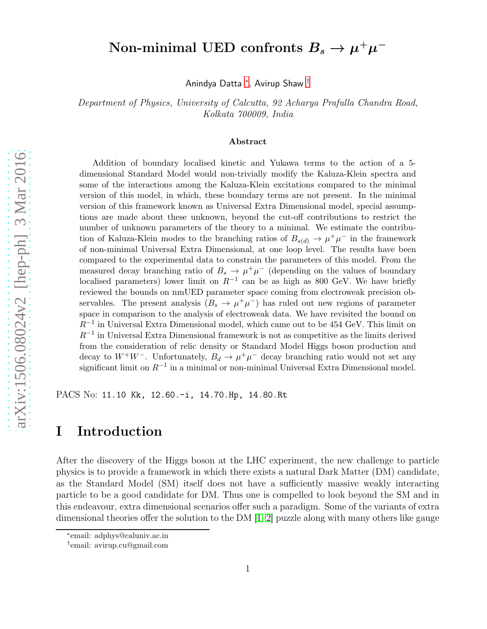# Non-minimal UED confronts  $B_s \to \mu^+\mu^-$

Anindya Datta [∗](#page-0-0) , Avirup Shaw [†](#page-0-1)

Department of Physics, University of Calcutta, 92 Acharya Prafulla Chandra Road, Kolkata 700009, India

#### Abstract

Addition of boundary localised kinetic and Yukawa terms to the action of a 5 dimensional Standard Model would non-trivially modify the Kaluza-Klein spectra and some of the interactions among the Kaluza-Klein excitations compared to the minimal version of this model, in which, these boundary terms are not present. In the minimal version of this framework known as Universal Extra Dimensional model, special assumptions are made about these unknown, beyond the cut-off contributions to restrict the number of unknown parameters of the theory to a minimal. We estimate the contribution of Kaluza-Klein modes to the branching ratios of  $B_{s(d)} \to \mu^+ \mu^-$  in the framework of non-minimal Universal Extra Dimensional, at one loop level. The results have been compared to the experimental data to constrain the parameters of this model. From the measured decay branching ratio of  $B_s \to \mu^+\mu^-$  (depending on the values of boundary localised parameters) lower limit on  $R^{-1}$  can be as high as 800 GeV. We have briefly reviewed the bounds on nmUED parameter space coming from electroweak precision observables. The present analysis  $(B_s \to \mu^+ \mu^-)$  has ruled out new regions of parameter space in comparison to the analysis of electroweak data. We have revisited the bound on R−<sup>1</sup> in Universal Extra Dimensional model, which came out to be 454 GeV. This limit on  $R^{-1}$  in Universal Extra Dimensional framework is not as competitive as the limits derived from the consideration of relic density or Standard Model Higgs boson production and decay to  $W^+W^-$ . Unfortunately,  $B_d \to \mu^+\mu^-$  decay branching ratio would not set any significant limit on  $R^{-1}$  in a minimal or non-minimal Universal Extra Dimensional model.

PACS No: 11.10 Kk, 12.60.-i, 14.70.Hp, 14.80.Rt

### I Introduction

After the discovery of the Higgs boson at the LHC experiment, the new challenge to particle physics is to provide a framework in which there exists a natural Dark Matter (DM) candidate, as the Standard Model (SM) itself does not have a sufficiently massive weakly interacting particle to be a good candidate for DM. Thus one is compelled to look beyond the SM and in this endeavour, extra dimensional scenarios offer such a paradigm. Some of the variants of extra dimensional theories offer the solution to the DM [\[1,](#page-23-0) [2\]](#page-23-1) puzzle along with many others like gauge

<sup>∗</sup> email: adphys@caluniv.ac.in

<span id="page-0-1"></span><span id="page-0-0"></span><sup>†</sup> email: avirup.cu@gmail.com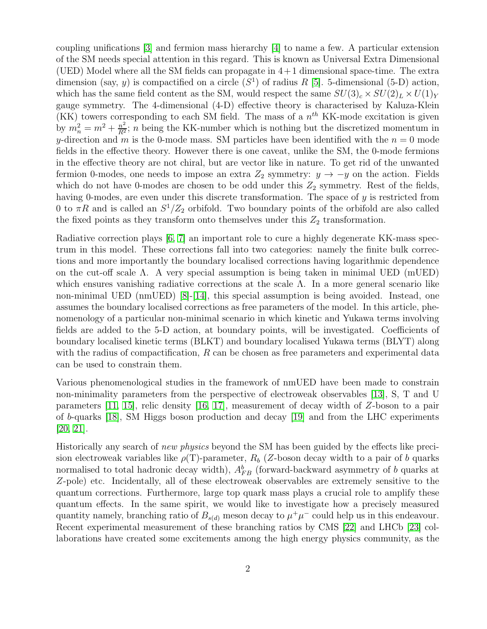coupling unifications [\[3\]](#page-23-2) and fermion mass hierarchy [\[4\]](#page-23-3) to name a few. A particular extension of the SM needs special attention in this regard. This is known as Universal Extra Dimensional (UED) Model where all the SM fields can propagate in  $4+1$  dimensional space-time. The extra dimension (say, y) is compactified on a circle  $(S<sup>1</sup>)$  of radius R [\[5\]](#page-23-4). 5-dimensional (5-D) action, which has the same field content as the SM, would respect the same  $SU(3)_c \times SU(2)_L \times U(1)_Y$ gauge symmetry. The 4-dimensional (4-D) effective theory is characterised by Kaluza-Klein (KK) towers corresponding to each SM field. The mass of a  $n^{th}$  KK-mode excitation is given by  $m_n^2 = m^2 + \frac{n^2}{R^2}$ ; n being the KK-number which is nothing but the discretized momentum in y-direction and m is the 0-mode mass. SM particles have been identified with the  $n = 0$  mode fields in the effective theory. However there is one caveat, unlike the SM, the 0-mode fermions in the effective theory are not chiral, but are vector like in nature. To get rid of the unwanted fermion 0-modes, one needs to impose an extra  $Z_2$  symmetry:  $y \to -y$  on the action. Fields which do not have 0-modes are chosen to be odd under this  $Z_2$  symmetry. Rest of the fields, having 0-modes, are even under this discrete transformation. The space of y is restricted from 0 to  $\pi R$  and is called an  $S^1/Z_2$  orbifold. Two boundary points of the orbifold are also called the fixed points as they transform onto themselves under this  $Z_2$  transformation.

Radiative correction plays [\[6,](#page-23-5) [7\]](#page-24-0) an important role to cure a highly degenerate KK-mass spectrum in this model. These corrections fall into two categories: namely the finite bulk corrections and more importantly the boundary localised corrections having logarithmic dependence on the cut-off scale  $\Lambda$ . A very special assumption is being taken in minimal UED (mUED) which ensures vanishing radiative corrections at the scale  $\Lambda$ . In a more general scenario like non-minimal UED (nmUED) [\[8\]](#page-24-1)-[\[14\]](#page-24-2), this special assumption is being avoided. Instead, one assumes the boundary localised corrections as free parameters of the model. In this article, phenomenology of a particular non-minimal scenario in which kinetic and Yukawa terms involving fields are added to the 5-D action, at boundary points, will be investigated. Coefficients of boundary localised kinetic terms (BLKT) and boundary localised Yukawa terms (BLYT) along with the radius of compactification, R can be chosen as free parameters and experimental data can be used to constrain them.

Various phenomenological studies in the framework of nmUED have been made to constrain non-minimality parameters from the perspective of electroweak observables [\[13\]](#page-24-3), S, T and U parameters [\[11,](#page-24-4) [15\]](#page-24-5), relic density [\[16,](#page-24-6) [17\]](#page-24-7), measurement of decay width of Z-boson to a pair of b-quarks [\[18\]](#page-24-8), SM Higgs boson production and decay [\[19\]](#page-24-9) and from the LHC experiments [\[20,](#page-24-10) [21\]](#page-24-11).

Historically any search of new physics beyond the SM has been guided by the effects like precision electroweak variables like  $\rho(T)$ -parameter,  $R_b$  (Z-boson decay width to a pair of b quarks normalised to total hadronic decay width),  $A_{FB}^b$  (forward-backward asymmetry of b quarks at Z-pole) etc. Incidentally, all of these electroweak observables are extremely sensitive to the quantum corrections. Furthermore, large top quark mass plays a crucial role to amplify these quantum effects. In the same spirit, we would like to investigate how a precisely measured quantity namely, branching ratio of  $B_{s(d)}$  meson decay to  $\mu^+\mu^-$  could help us in this endeavour. Recent experimental measurement of these branching ratios by CMS [\[22\]](#page-24-12) and LHCb [\[23\]](#page-24-13) collaborations have created some excitements among the high energy physics community, as the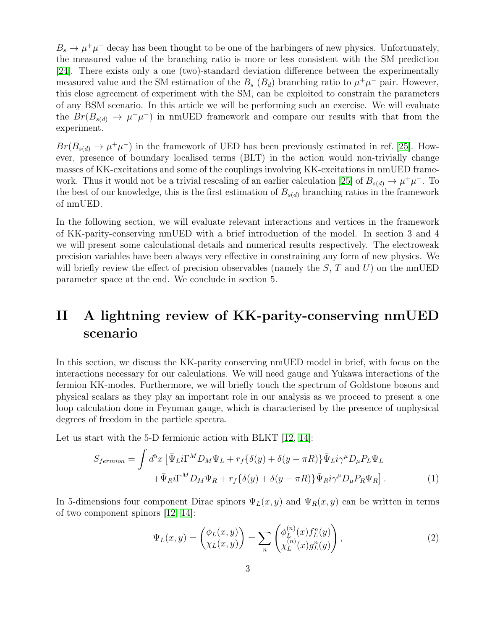$B_s \to \mu^+\mu^-$  decay has been thought to be one of the harbingers of new physics. Unfortunately, the measured value of the branching ratio is more or less consistent with the SM prediction [\[24\]](#page-24-14). There exists only a one (two)-standard deviation difference between the experimentally measured value and the SM estimation of the  $B_s$   $(B_d)$  branching ratio to  $\mu^+\mu^-$  pair. However, this close agreement of experiment with the SM, can be exploited to constrain the parameters of any BSM scenario. In this article we will be performing such an exercise. We will evaluate the  $Br(B_{s(d)} \to \mu^+\mu^-)$  in nmUED framework and compare our results with that from the experiment.

 $Br(B_{s(d)} \to \mu^+\mu^-)$  in the framework of UED has been previously estimated in ref. [\[25\]](#page-25-0). However, presence of boundary localised terms (BLT) in the action would non-trivially change masses of KK-excitations and some of the couplings involving KK-excitations in nmUED frame-work. Thus it would not be a trivial rescaling of an earlier calculation [\[25\]](#page-25-0) of  $B_{s(d)} \to \mu^+\mu^-$ . To the best of our knowledge, this is the first estimation of  $B_{s(d)}$  branching ratios in the framework of nmUED.

In the following section, we will evaluate relevant interactions and vertices in the framework of KK-parity-conserving nmUED with a brief introduction of the model. In section 3 and 4 we will present some calculational details and numerical results respectively. The electroweak precision variables have been always very effective in constraining any form of new physics. We will briefly review the effect of precision observables (namely the  $S, T$  and  $U$ ) on the nmUED parameter space at the end. We conclude in section 5.

# II A lightning review of KK-parity-conserving nmUED scenario

In this section, we discuss the KK-parity conserving nmUED model in brief, with focus on the interactions necessary for our calculations. We will need gauge and Yukawa interactions of the fermion KK-modes. Furthermore, we will briefly touch the spectrum of Goldstone bosons and physical scalars as they play an important role in our analysis as we proceed to present a one loop calculation done in Feynman gauge, which is characterised by the presence of unphysical degrees of freedom in the particle spectra.

Let us start with the 5-D fermionic action with BLKT [\[12,](#page-24-15) [14\]](#page-24-2):

<span id="page-2-1"></span>
$$
S_{fermion} = \int d^5x \left[ \bar{\Psi}_L i \Gamma^M D_M \Psi_L + r_f \{ \delta(y) + \delta(y - \pi R) \} \bar{\Psi}_L i \gamma^\mu D_\mu P_L \Psi_L \right. \left. + \bar{\Psi}_R i \Gamma^M D_M \Psi_R + r_f \{ \delta(y) + \delta(y - \pi R) \} \bar{\Psi}_R i \gamma^\mu D_\mu P_R \Psi_R \right].
$$
\n(1)

In 5-dimensions four component Dirac spinors  $\Psi_L(x, y)$  and  $\Psi_R(x, y)$  can be written in terms of two component spinors [\[12,](#page-24-15) [14\]](#page-24-2):

<span id="page-2-0"></span>
$$
\Psi_L(x,y) = \begin{pmatrix} \phi_L(x,y) \\ \chi_L(x,y) \end{pmatrix} = \sum_n \begin{pmatrix} \phi_L^{(n)}(x) f_L^n(y) \\ \chi_L^{(n)}(x) g_L^n(y) \end{pmatrix},\tag{2}
$$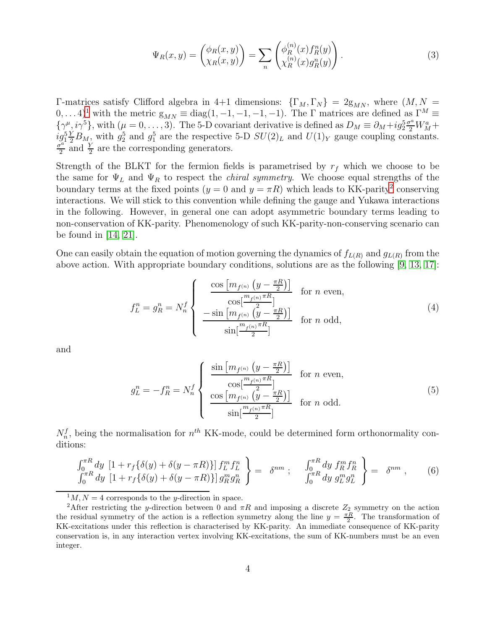<span id="page-3-3"></span>
$$
\Psi_R(x,y) = \begin{pmatrix} \phi_R(x,y) \\ \chi_R(x,y) \end{pmatrix} = \sum_n \begin{pmatrix} \phi_R^{(n)}(x) f_R^n(y) \\ \chi_R^{(n)}(x) g_R^n(y) \end{pmatrix} . \tag{3}
$$

Γ-matrices satisfy Clifford algebra in 4+1 dimensions:  $\{\Gamma_M, \Gamma_N\} = 2g_{MN}$ , where  $(M, N =$  $(0, \ldots 4)^1$  $(0, \ldots 4)^1$  with the metric  $g_{MN} \equiv diag(1, -1, -1, -1, -1)$ . The  $\Gamma$  matrices are defined as  $\Gamma^M \equiv$  $\{\gamma^{\mu}, i\gamma^5\}$ , with  $(\mu = 0, \ldots, 3)$ . The 5-D covariant derivative is defined as  $D_M \equiv \partial_M + ig_2^5 \frac{\sigma^a}{2} W_M^a +$  $ig_1^5 Y B_M$ , with  $g_2^5$  and  $g_1^5$  are the respective 5-D  $SU(2)_L$  and  $U(1)_Y$  gauge coupling constants.  $\frac{y^a}{2}$  and  $\frac{Y}{2}$  are the corresponding generators.

Strength of the BLKT for the fermion fields is parametrised by  $r_f$  which we choose to be the same for  $\Psi_L$  and  $\Psi_R$  to respect the *chiral symmetry*. We choose equal strengths of the boundary terms at the fixed points  $(y = 0 \text{ and } y = \pi R)$  which leads to KK-parity<sup>[2](#page-3-1)</sup> conserving interactions. We will stick to this convention while defining the gauge and Yukawa interactions in the following. However, in general one can adopt asymmetric boundary terms leading to non-conservation of KK-parity. Phenomenology of such KK-parity-non-conserving scenario can be found in [\[14,](#page-24-2) [21\]](#page-24-11).

One can easily obtain the equation of motion governing the dynamics of  $f_{L(R)}$  and  $g_{L(R)}$  from the above action. With appropriate boundary conditions, solutions are as the following [\[9,](#page-24-16) [13,](#page-24-3) [17\]](#page-24-7):

<span id="page-3-2"></span>
$$
f_L^n = g_R^n = N_n^f \begin{cases} \frac{\cos \left[m_{f^{(n)}} \left(y - \frac{\pi R}{2}\right)\right]}{\cos\left[\frac{m_{f^{(n)}} \pi R}{2}\right]} & \text{for } n \text{ even,} \\ -\sin \left[m_{f^{(n)}} \left(\frac{y - \pi R}{2}\right)\right] & \text{for } n \text{ odd,} \\ \frac{\sin\left[\frac{m_{f^{(n)}} \pi R}{2}\right]}{\sin\left[\frac{m_{f^{(n)}} \pi R}{2}\right]} & \text{for } n \text{ odd,} \end{cases} \tag{4}
$$

and

$$
g_L^n = -f_R^n = N_n^f \begin{cases} \frac{\sin \left[m_{f^{(n)}} \left(y - \frac{\pi R}{2}\right)\right]}{\cos \left[\frac{m_{f^{(n)}} \pi R}{2}\right]} & \text{for } n \text{ even,} \\ \frac{\cos \left[m_{f^{(n)}} \left(y - \frac{\pi R}{2}\right)\right]}{\sin \left[\frac{m_{f^{(n)}} \pi R}{2}\right]} & \text{for } n \text{ odd.} \end{cases}
$$
(5)

 $N_n^f$ , being the normalisation for  $n^{th}$  KK-mode, could be determined form orthonormality conditions:

$$
\begin{aligned}\n\int_0^{\pi R} dy \, \left[ 1 + r_f \{ \delta(y) + \delta(y - \pi R) \} \right] f_L^m f_L^n \\
\int_0^{\pi R} dy \, \left[ 1 + r_f \{ \delta(y) + \delta(y - \pi R) \} \right] g_R^m g_R^n\n\end{aligned} = \n\delta^{nm} ; \n\quad\n\begin{aligned}\n\int_0^{\pi R} dy \, f_R^m f_R^n \\
\int_0^{\pi R} dy \, g_L^m g_L^n\n\end{aligned}\n\right\} = \n\delta^{nm} , \n(6)
$$

<span id="page-3-0"></span> $^{1}M$ ,  $N = 4$  corresponds to the *y*-direction in space.

<span id="page-3-1"></span><sup>&</sup>lt;sup>2</sup>After restricting the y-direction between 0 and  $\pi R$  and imposing a discrete  $Z_2$  symmetry on the action the residual symmetry of the action is a reflection symmetry along the line  $y = \frac{\pi R}{2}$ . The transformation of KK-excitations under this reflection is characterised by KK-parity. An immediate consequence of KK-parity conservation is, in any interaction vertex involving KK-excitations, the sum of KK-numbers must be an even integer.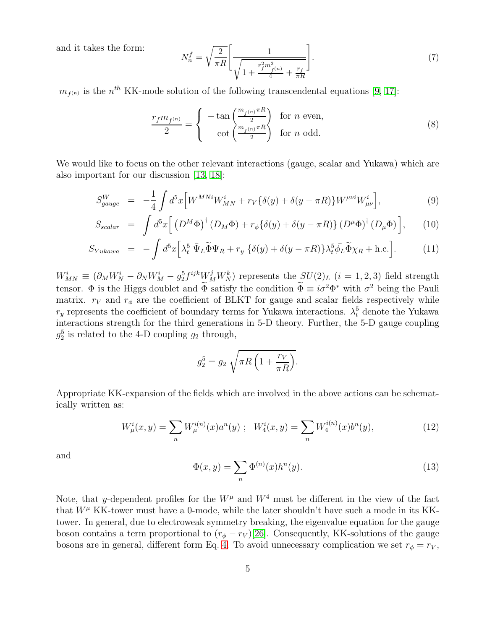and it takes the form:

<span id="page-4-2"></span>
$$
N_n^f = \sqrt{\frac{2}{\pi R}} \left[ \frac{1}{\sqrt{1 + \frac{r_f^2 m_{f(n)}^2}{4} + \frac{r_f}{\pi R}}} \right].
$$
 (7)

 $m_{f^{(n)}}$  is the  $n^{th}$  KK-mode solution of the following transcendental equations [\[9,](#page-24-16) [17\]](#page-24-7):

<span id="page-4-0"></span>
$$
\frac{r_f m_{f^{(n)}}}{2} = \begin{cases} -\tan\left(\frac{m_{f^{(n)}} \pi R}{2}\right) & \text{for } n \text{ even,} \\ \cot\left(\frac{m_{f^{(n)}} \pi R}{2}\right) & \text{for } n \text{ odd.} \end{cases}
$$
 (8)

We would like to focus on the other relevant interactions (gauge, scalar and Yukawa) which are also important for our discussion [\[13,](#page-24-3) [18\]](#page-24-8):

<span id="page-4-1"></span>
$$
S_{gauge}^W = -\frac{1}{4} \int d^5x \Big[ W^{MNi} W_{MN}^i + r_V \{ \delta(y) + \delta(y - \pi R) \} W^{\mu\nu i} W_{\mu\nu}^i \Big], \tag{9}
$$

$$
S_{scalar} = \int d^5x \left[ \left( D^M \Phi \right)^{\dagger} \left( D_M \Phi \right) + r_{\phi} \{ \delta(y) + \delta(y - \pi R) \} \left( D^{\mu} \Phi \right)^{\dagger} \left( D_{\mu} \Phi \right) \right], \tag{10}
$$

$$
S_{Yukawa} = -\int d^5x \Big[ \lambda_t^5 \, \bar{\Psi}_L \widetilde{\Phi} \Psi_R + r_y \, \{ \delta(y) + \delta(y - \pi R) \} \lambda_t^5 \bar{\phi}_L \widetilde{\Phi} \chi_R + \text{h.c.} \Big]. \tag{11}
$$

 $W_{MN}^{i} \equiv (\partial_M W_N^i - \partial_N W_M^i - g_2^5 f^{ijk} W_M^j W_N^k)$  represents the  $SU(2)_L$   $(i = 1, 2, 3)$  field strength tensor.  $\Phi$  is the Higgs doublet and  $\Phi$  satisfy the condition  $\Phi \equiv i\sigma^2 \Phi^*$  with  $\sigma^2$  being the Pauli matrix.  $r_V$  and  $r_{\phi}$  are the coefficient of BLKT for gauge and scalar fields respectively while  $r_y$  represents the coefficient of boundary terms for Yukawa interactions.  $\lambda_t^5$  denote the Yukawa interactions strength for the third generations in 5-D theory. Further, the 5-D gauge coupling  $g_2^5$  is related to the 4-D coupling  $g_2$  through,

$$
g_2^5 = g_2 \sqrt{\pi R \left(1 + \frac{r_V}{\pi R}\right)}.
$$

Appropriate KK-expansion of the fields which are involved in the above actions can be schematically written as:

$$
W^i_\mu(x,y) = \sum_n W^{i(n)}_\mu(x) a^n(y) \; ; \; W^i_4(x,y) = \sum_n W^{i(n)}_4(x) b^n(y), \tag{12}
$$

and

$$
\Phi(x,y) = \sum_{n} \Phi^{(n)}(x) h^n(y). \tag{13}
$$

Note, that y-dependent profiles for the  $W^{\mu}$  and  $W^4$  must be different in the view of the fact that  $W^{\mu}$  KK-tower must have a 0-mode, while the later shouldn't have such a mode in its KKtower. In general, due to electroweak symmetry breaking, the eigenvalue equation for the gauge boson contains a term proportional to  $(r_{\phi}-r_V)[26]$  $(r_{\phi}-r_V)[26]$ . Consequently, KK-solutions of the gauge bosons are in general, different form Eq. [4.](#page-3-2) To avoid unnecessary complication we set  $r_{\phi} = r_V$ ,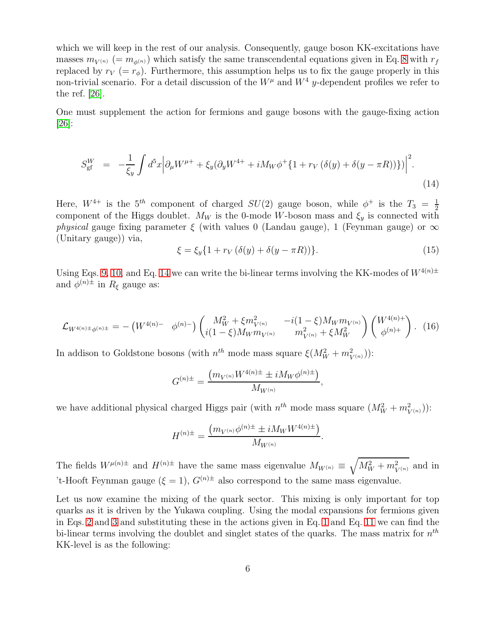which we will keep in the rest of our analysis. Consequently, gauge boson KK-excitations have masses  $m_{V^{(n)}} (= m_{\phi^{(n)}})$  which satisfy the same transcendental equations given in Eq. [8](#page-4-0) with  $r_f$ replaced by  $r_V (= r_{\phi})$ . Furthermore, this assumption helps us to fix the gauge properly in this non-trivial scenario. For a detail discussion of the  $W^{\mu}$  and  $W^{4}$  y-dependent profiles we refer to the ref. [\[26\]](#page-25-1).

One must supplement the action for fermions and gauge bosons with the gauge-fixing action [\[26\]](#page-25-1):

<span id="page-5-0"></span>
$$
S_{\rm gf}^W = -\frac{1}{\xi_y} \int d^5 x \Big| \partial_\mu W^{\mu+} + \xi_y (\partial_y W^{4+} + i M_W \phi^+ \{1 + r_V (\delta(y) + \delta(y - \pi R))\}) \Big|^2.
$$
\n(14)

Here,  $W^{4+}$  is the  $5^{th}$  component of charged  $SU(2)$  gauge boson, while  $\phi^+$  is the  $T_3 = \frac{1}{2}$ 2 component of the Higgs doublet.  $M_W$  is the 0-mode W-boson mass and  $\xi_y$  is connected with *physical* gauge fixing parameter  $\xi$  (with values 0 (Landau gauge), 1 (Feynman gauge) or  $\infty$ (Unitary gauge)) via,

$$
\xi = \xi_y \{ 1 + r_V \left( \delta(y) + \delta(y - \pi R) \right) \}.
$$
\n(15)

Using Eqs. [9, 10,](#page-4-1) and Eq. [14](#page-5-0) we can write the bi-linear terms involving the KK-modes of  $W^{4(n)\pm}$ and  $\phi^{(n)\pm}$  in  $R_{\xi}$  gauge as:

$$
\mathcal{L}_{W^{4(n)\pm}\phi^{(n)\pm}} = -\left(W^{4(n)-}\phi^{(n)-}\right)\begin{pmatrix} M_W^2 + \xi m_{V^{(n)}}^2 & -i(1-\xi)M_W m_{V^{(n)}}\\ i(1-\xi)M_W m_{V^{(n)}} & m_{V^{(n)}}^2 + \xi M_W^2 \end{pmatrix}\begin{pmatrix} W^{4(n)+}\\ \phi^{(n)+} \end{pmatrix}.
$$
 (16)

In addison to Goldstone bosons (with  $n^{th}$  mode mass square  $\xi(M_W^2 + m_{V^{(n)}}^2)$ ):

$$
G^{(n)\pm}=\frac{\left(m_{V^{(n)}}W^{4(n)\pm}\pm iM_W\phi^{(n)\pm}\right)}{M_{W^{(n)}}},
$$

we have additional physical charged Higgs pair (with  $n^{th}$  mode mass square  $(M_W^2 + m_{V^{(n)}}^2)$ ):

$$
H^{(n)\pm} = \frac{\left(m_{V^{(n)}}\phi^{(n)\pm} \pm iM_W W^{4(n)\pm}\right)}{M_{W^{(n)}}}.
$$

The fields  $W^{\mu(n)\pm}$  and  $H^{(n)\pm}$  have the same mass eigenvalue  $M_{W^{(n)}} \equiv \sqrt{M_W^2 + m_{V^{(n)}}^2}$  and in 't-Hooft Feynman gauge ( $\xi = 1$ ),  $G^{(n)\pm}$  also correspond to the same mass eigenvalue.

Let us now examine the mixing of the quark sector. This mixing is only important for top quarks as it is driven by the Yukawa coupling. Using the modal expansions for fermions given in Eqs. [2](#page-2-0) and [3](#page-3-3) and substituting these in the actions given in Eq. [1](#page-2-1) and Eq. [11](#page-4-1) we can find the bi-linear terms involving the doublet and singlet states of the quarks. The mass matrix for  $n^{th}$ KK-level is as the following: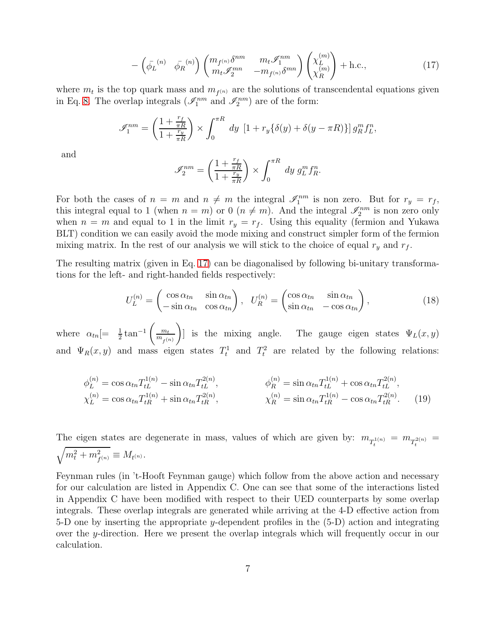<span id="page-6-0"></span>
$$
-\left(\bar{\phi_L}^{(n)} \quad \bar{\phi_R}^{(n)}\right) \begin{pmatrix} m_{f^{(n)}} \delta^{nm} & m_t \mathcal{I}_1^{nm} \\ m_t \mathcal{I}_2^{mn} & -m_{f^{(n)}} \delta^{mn} \end{pmatrix} \begin{pmatrix} \chi_L^{(m)} \\ \chi_R^{(m)} \end{pmatrix} + \text{h.c.,}
$$
(17)

where  $m_t$  is the top quark mass and  $m_{f^{(n)}}$  are the solutions of transcendental equations given in Eq. [8.](#page-4-0) The overlap integrals  $(\mathscr{I}_1^{nm} \text{ and } \mathscr{I}_2^{nm})$  are of the form:

$$
\mathscr{I}_1^{nm} = \left(\frac{1 + \frac{r_f}{\pi R}}{1 + \frac{r_y}{\pi R}}\right) \times \int_0^{\pi R} dy \left[1 + r_y \{\delta(y) + \delta(y - \pi R)\}\right] g_R^m f_L^n,
$$

and

$$
\mathscr{I}_{2}^{nm}=\left(\frac{1+\frac{r_{f}}{\pi R}}{1+\frac{r_{y}}{\pi R}}\right)\times\int_{0}^{\pi R}dy\;g_{L}^{m}f_{R}^{n}.
$$

For both the cases of  $n = m$  and  $n \neq m$  the integral  $\mathscr{I}_1^{nm}$  is non zero. But for  $r_y = r_f$ , this integral equal to 1 (when  $n = m$ ) or 0 ( $n \neq m$ ). And the integral  $\mathscr{I}_2^{nm}$  is non zero only when  $n = m$  and equal to 1 in the limit  $r_y = r_f$ . Using this equality (fermion and Yukawa BLT) condition we can easily avoid the mode mixing and construct simpler form of the fermion mixing matrix. In the rest of our analysis we will stick to the choice of equal  $r_y$  and  $r_f$ .

The resulting matrix (given in Eq. [17\)](#page-6-0) can be diagonalised by following bi-unitary transformations for the left- and right-handed fields respectively:

$$
U_L^{(n)} = \begin{pmatrix} \cos \alpha_{tn} & \sin \alpha_{tn} \\ -\sin \alpha_{tn} & \cos \alpha_{tn} \end{pmatrix}, \quad U_R^{(n)} = \begin{pmatrix} \cos \alpha_{tn} & \sin \alpha_{tn} \\ \sin \alpha_{tn} & -\cos \alpha_{tn} \end{pmatrix}, \tag{18}
$$

where  $\alpha_{tn}$  =  $\frac{1}{2} \tan^{-1}$  $\begin{pmatrix} 1 & m_t \end{pmatrix}$  $m_{f^{(n)}}$  $\setminus$ ] is the mixing angle. The gauge eigen states  $\Psi_L(x, y)$ and  $\Psi_R(x, y)$  and mass eigen states  $T_t^1$  and  $T_t^2$  are related by the following relations:

$$
\phi_L^{(n)} = \cos \alpha_{tn} T_{tL}^{1(n)} - \sin \alpha_{tn} T_{tL}^{2(n)}, \qquad \phi_R^{(n)} = \sin \alpha_{tn} T_{tL}^{1(n)} + \cos \alpha_{tn} T_{tL}^{2(n)},
$$
  
\n
$$
\chi_L^{(n)} = \cos \alpha_{tn} T_{tR}^{1(n)} + \sin \alpha_{tn} T_{tR}^{2(n)}, \qquad \chi_R^{(n)} = \sin \alpha_{tn} T_{tR}^{1(n)} - \cos \alpha_{tn} T_{tR}^{2(n)}.
$$
\n(19)

The eigen states are degenerate in mass, values of which are given by:  $m_{T_t^{1(n)}} = m_{T_t^{2(n)}} =$  $\sqrt{m_t^2 + m_{f^{(n)}}^2} \equiv M_{t^{(n)}}.$ 

Feynman rules (in 't-Hooft Feynman gauge) which follow from the above action and necessary for our calculation are listed in Appendix C. One can see that some of the interactions listed in Appendix C have been modified with respect to their UED counterparts by some overlap integrals. These overlap integrals are generated while arriving at the 4-D effective action from 5-D one by inserting the appropriate y-dependent profiles in the  $(5-D)$  action and integrating over the y-direction. Here we present the overlap integrals which will frequently occur in our calculation.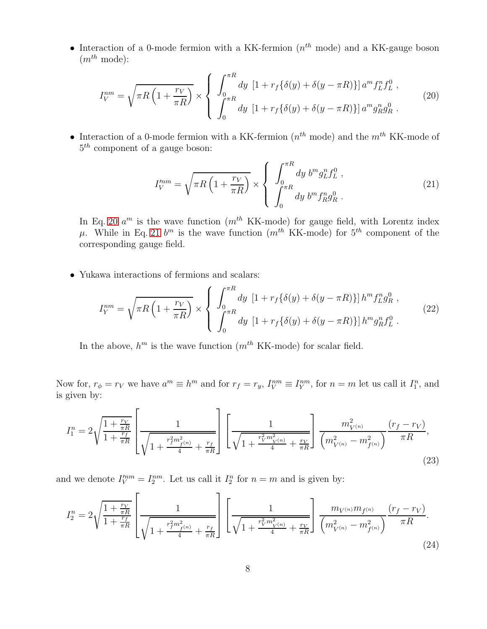• Interaction of a 0-mode fermion with a KK-fermion  $(n<sup>th</sup> \text{ mode})$  and a KK-gauge boson  $(m^{th} \text{ mode})$ :

<span id="page-7-0"></span>
$$
I_V^{nm} = \sqrt{\pi R \left(1 + \frac{r_V}{\pi R}\right)} \times \begin{cases} \int_0^{\pi R} dy \left[1 + r_f \{\delta(y) + \delta(y - \pi R)\}\right] a^m f_L^n f_L^0, \\ \int_0^{\pi R} dy \left[1 + r_f \{\delta(y) + \delta(y - \pi R)\}\right] a^m g_R^n g_R^0. \end{cases}
$$
(20)

• Interaction of a 0-mode fermion with a KK-fermion  $(n<sup>th</sup> \text{ mode})$  and the  $m<sup>th</sup>$  KK-mode of 5 th component of a gauge boson:

<span id="page-7-1"></span>
$$
I_V^{mm} = \sqrt{\pi R \left(1 + \frac{r_V}{\pi R}\right)} \times \left\{ \begin{array}{l} \int_0^{\pi R} dy \ b^m g_L^n f_L^0 \ , \\ \int_0^{\pi R} dy \ b^m f_R^n g_R^0 \ . \end{array} \right. \tag{21}
$$

In Eq. [20](#page-7-0)  $a^m$  is the wave function  $(m^{th}$  KK-mode) for gauge field, with Lorentz index  $\mu$ . While in Eq. [21](#page-7-1)  $b^m$  is the wave function  $(m^{th}$  KK-mode) for  $5^{th}$  component of the corresponding gauge field.

• Yukawa interactions of fermions and scalars:

$$
I_Y^{nm} = \sqrt{\pi R \left(1 + \frac{r_V}{\pi R}\right)} \times \left\{ \begin{array}{l} \int_0^{\pi R} dy \left[1 + r_f \{\delta(y) + \delta(y - \pi R)\}\right] h^m f_L^n g_R^0 \,, \\ \int_0^{\pi R} dy \left[1 + r_f \{\delta(y) + \delta(y - \pi R)\}\right] h^m g_R^n f_L^0 \,. \end{array} \right. \tag{22}
$$

In the above,  $h^m$  is the wave function  $(m^{th} K K$ -mode) for scalar field.

Now for,  $r_{\phi} = r_V$  we have  $a^m \equiv h^m$  and for  $r_f = r_y$ ,  $I_V^{nm} \equiv I_Y^{nm}$ , for  $n = m$  let us call it  $I_1^n$ , and is given by:

<span id="page-7-2"></span>
$$
I_1^n = 2\sqrt{\frac{1 + \frac{r_V}{\pi R}}{1 + \frac{r_f}{\pi R}}} \left[ \frac{1}{\sqrt{1 + \frac{r_f^2 m_{f^{(n)}}^2}{4} + \frac{r_f}{\pi R}}} \right] \left[ \frac{1}{\sqrt{1 + \frac{r_V^2 m_{V^{(n)}}^2}{4} + \frac{r_V}{\pi R}}} \right] \frac{m_{V^{(n)}}^2}{\left( m_{V^{(n)}}^2 - m_{f^{(n)}}^2 \right)} \frac{(r_f - r_V)}{\pi R},\tag{23}
$$

and we denote  $I_V^{nm} = I_2^{nm}$ . Let us call it  $I_2^n$  for  $n = m$  and is given by:

<span id="page-7-3"></span>
$$
I_2^n = 2\sqrt{\frac{1 + \frac{r_V}{\pi R}}{1 + \frac{r_f}{\pi R}}} \left[ \frac{1}{\sqrt{1 + \frac{r_f^2 m_{f(n)}^2}{4} + \frac{r_f}{\pi R}}} \right] \left[ \frac{1}{\sqrt{1 + \frac{r_V^2 m_{V(n)}^2}{4} + \frac{r_V}{\pi R}}} \right] \frac{m_{V^{(n)}} m_{f^{(n)}}}{\left( m_{V^{(n)}}^2 - m_{f^{(n)}}^2 \right)} \frac{(r_f - r_V)}{\pi R}.
$$
\n(24)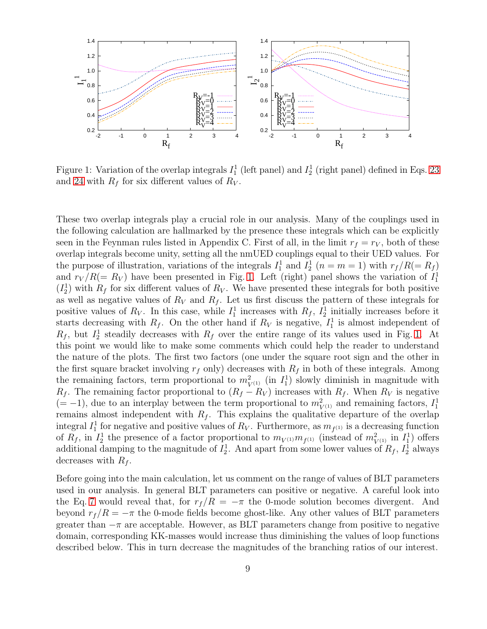

<span id="page-8-0"></span>Figure 1: Variation of the overlap integrals  $I_1^1$  (left panel) and  $I_2^1$  (right panel) defined in Eqs. [23](#page-7-2) and [24](#page-7-3) with  $R_f$  for six different values of  $R_V$ .

These two overlap integrals play a crucial role in our analysis. Many of the couplings used in the following calculation are hallmarked by the presence these integrals which can be explicitly seen in the Feynman rules listed in Appendix C. First of all, in the limit  $r_f = r_V$ , both of these overlap integrals become unity, setting all the nmUED couplings equal to their UED values. For the purpose of illustration, variations of the integrals  $I_1^1$  and  $I_2^1$   $(n = m = 1)$  with  $r_f/R (= R_f)$ and  $r_V/R (= R_V)$  have been presented in Fig. [1.](#page-8-0) Left (right) panel shows the variation of  $I_1^1$  $(I_2^1)$  with  $R_f$  for six different values of  $R_V$ . We have presented these integrals for both positive as well as negative values of  $R_V$  and  $R_f$ . Let us first discuss the pattern of these integrals for positive values of  $R_V$ . In this case, while  $I_1^1$  increases with  $R_f$ ,  $I_2^1$  initially increases before it starts decreasing with  $R_f$ . On the other hand if  $R_V$  is negative,  $I_1^1$  is almost independent of  $R_f$ , but  $I_2^1$  steadily decreases with  $R_f$  over the entire range of its values used in Fig. [1.](#page-8-0) At this point we would like to make some comments which could help the reader to understand the nature of the plots. The first two factors (one under the square root sign and the other in the first square bracket involving  $r_f$  only) decreases with  $R_f$  in both of these integrals. Among the remaining factors, term proportional to  $m_{V^{(1)}}^2$  (in  $I_1^1$ ) slowly diminish in magnitude with  $R_f$ . The remaining factor proportional to  $(R_f - R_V)$  increases with  $R_f$ . When  $R_V$  is negative  $(=-1)$ , due to an interplay between the term proportional to  $m_{V^{(1)}}^2$  and remaining factors,  $I_1^1$ remains almost independent with  $R_f$ . This explains the qualitative departure of the overlap integral  $I_1^1$  for negative and positive values of  $R_V$ . Furthermore, as  $m_{f^{(1)}}$  is a decreasing function of  $R_f$ , in  $I_2^1$  the presence of a factor proportional to  $m_{V^{(1)}}m_{f^{(1)}}$  (instead of  $m_{V^{(1)}}^2$  in  $I_1^1$ ) offers additional damping to the magnitude of  $I_2^1$ . And apart from some lower values of  $R_f$ ,  $I_2^1$  always decreases with  $R_f$ .

Before going into the main calculation, let us comment on the range of values of BLT parameters used in our analysis. In general BLT parameters can positive or negative. A careful look into the Eq. [7](#page-4-2) would reveal that, for  $r_f/R = -\pi$  the 0-mode solution becomes divergent. And beyond  $r_f/R = -\pi$  the 0-mode fields become ghost-like. Any other values of BLT parameters greater than  $-\pi$  are acceptable. However, as BLT parameters change from positive to negative domain, corresponding KK-masses would increase thus diminishing the values of loop functions described below. This in turn decrease the magnitudes of the branching ratios of our interest.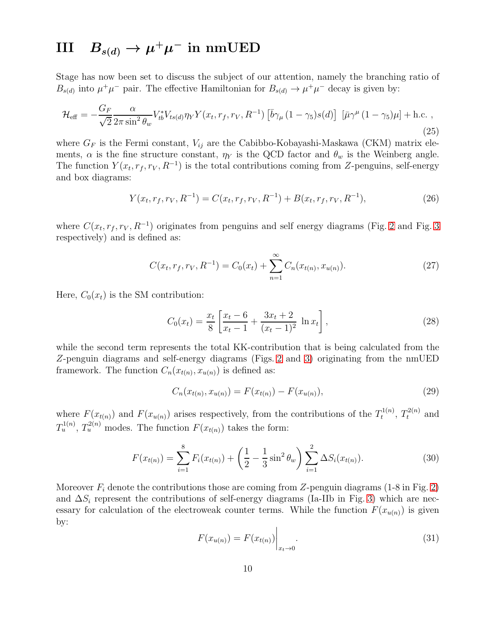# $\text{III} \quad B_{s(d)} \rightarrow \mu^+ \mu^- \text{ in mmUED}$

Stage has now been set to discuss the subject of our attention, namely the branching ratio of  $B_{s(d)}$  into  $\mu^+\mu^-$  pair. The effective Hamiltonian for  $B_{s(d)} \to \mu^+\mu^-$  decay is given by:

$$
\mathcal{H}_{\text{eff}} = -\frac{G_F}{\sqrt{2}} \frac{\alpha}{2\pi \sin^2 \theta_w} V_{tb}^* V_{ts(d)} \eta_Y Y(x_t, r_f, r_V, R^{-1}) \left[ \bar{b} \gamma_\mu (1 - \gamma_5) s(d) \right] \left[ \bar{\mu} \gamma^\mu (1 - \gamma_5) \mu \right] + \text{h.c.} \,, \tag{25}
$$

where  $G_F$  is the Fermi constant,  $V_{ij}$  are the Cabibbo-Kobayashi-Maskawa (CKM) matrix elements,  $\alpha$  is the fine structure constant,  $\eta_Y$  is the QCD factor and  $\theta_w$  is the Weinberg angle. The function  $Y(x_t, r_f, r_V, R^{-1})$  is the total contributions coming from Z-penguins, self-energy and box diagrams:

<span id="page-9-1"></span>
$$
Y(x_t, r_f, r_V, R^{-1}) = C(x_t, r_f, r_V, R^{-1}) + B(x_t, r_f, r_V, R^{-1}),
$$
\n(26)

where  $C(x_t, r_f, r_V, R^{-1})$  originates from penguins and self energy diagrams (Fig. [2](#page-10-0) and Fig. [3](#page-11-0) respectively) and is defined as:

<span id="page-9-3"></span>
$$
C(x_t, r_f, r_V, R^{-1}) = C_0(x_t) + \sum_{n=1}^{\infty} C_n(x_{t(n)}, x_{u(n)}).
$$
\n(27)

Here,  $C_0(x_t)$  is the SM contribution:

<span id="page-9-2"></span>
$$
C_0(x_t) = \frac{x_t}{8} \left[ \frac{x_t - 6}{x_t - 1} + \frac{3x_t + 2}{(x_t - 1)^2} \ln x_t \right],
$$
\n(28)

while the second term represents the total KK-contribution that is being calculated from the Z-penguin diagrams and self-energy diagrams (Figs. [2](#page-10-0) and [3\)](#page-11-0) originating from the nmUED framework. The function  $C_n(x_{t(n)}, x_{u(n)})$  is defined as:

<span id="page-9-0"></span>
$$
C_n(x_{t(n)}, x_{u(n)}) = F(x_{t(n)}) - F(x_{u(n)}),
$$
\n(29)

where  $F(x_{t(n)})$  and  $F(x_{u(n)})$  arises respectively, from the contributions of the  $T_t^{1(n)}$  $t^{1(n)}$ ,  $T_t^{2(n)}$  and  $T_u^{1(n)}$ ,  $T_u^{2(n)}$  modes. The function  $F(x_{t(n)})$  takes the form:

$$
F(x_{t(n)}) = \sum_{i=1}^{8} F_i(x_{t(n)}) + \left(\frac{1}{2} - \frac{1}{3}\sin^2\theta_w\right) \sum_{i=1}^{2} \Delta S_i(x_{t(n)}).
$$
 (30)

Moreover  $F_i$  denote the contributions those are coming from Z-penguin diagrams (1-8 in Fig. [2\)](#page-10-0) and  $\Delta S_i$  represent the contributions of self-energy diagrams (Ia-IIb in Fig. [3\)](#page-11-0) which are necessary for calculation of the electroweak counter terms. While the function  $F(x_{u(n)})$  is given by:

$$
F(x_{u(n)}) = F(x_{t(n)}) \Big|_{x_t \to 0}.
$$
\n(31)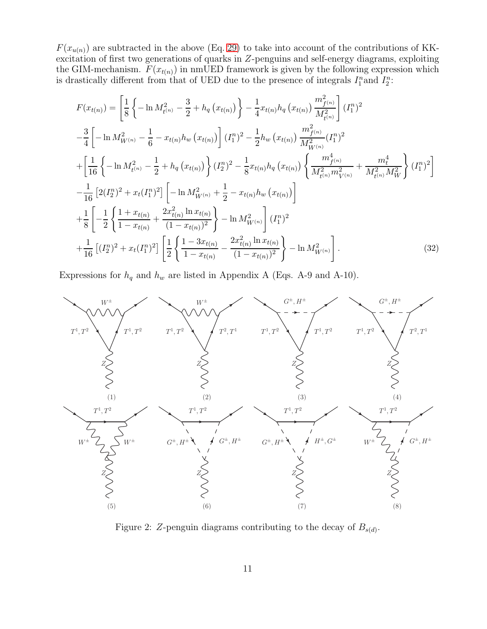$F(x_{u(n)})$  are subtracted in the above (Eq. [29\)](#page-9-0) to take into account of the contributions of KKexcitation of first two generations of quarks in Z-penguins and self-energy diagrams, exploiting the GIM-mechanism.  $F(x_{t(n)})$  in nmUED framework is given by the following expression which is drastically different from that of UED due to the presence of integrals  $I_1^n$  and  $I_2^n$ :

<span id="page-10-1"></span>
$$
F(x_{t(n)}) = \left[\frac{1}{8}\left\{-\ln M_{t^{(n)}}^2 - \frac{3}{2} + h_q(x_{t(n)})\right\} - \frac{1}{4}x_{t(n)}h_q(x_{t(n)})\frac{m_{f^{(n)}}^2}{M_{t^{(n)}}^2}\right](I_1^n)^2
$$
  
\n
$$
-\frac{3}{4}\left[-\ln M_{W^{(n)}}^2 - \frac{1}{6} - x_{t(n)}h_w(x_{t(n)})\right](I_1^n)^2 - \frac{1}{2}h_w(x_{t(n)})\frac{m_{f^{(n)}}^2}{M_{W^{(n)}}^2}(I_1^n)^2
$$
  
\n
$$
+\left[\frac{1}{16}\left\{-\ln M_{t^{(n)}}^2 - \frac{1}{2} + h_q(x_{t(n)})\right\}(I_2^n)^2 - \frac{1}{8}x_{t(n)}h_q(x_{t(n)})\left\{\frac{m_{f^{(n)}}^4}{M_{t^{(n)}}^2m_{V^{(n)}}^2} + \frac{m_t^4}{M_{t^{(n)}}^2M_W^2}\right\}(I_1^n)^2\right]
$$
  
\n
$$
-\frac{1}{16}\left[2(I_2^n)^2 + x_t(I_1^n)^2\right]\left[-\ln M_{W^{(n)}}^2 + \frac{1}{2} - x_{t(n)}h_w(x_{t(n)})\right]
$$
  
\n
$$
+\frac{1}{8}\left[-\frac{1}{2}\left\{\frac{1+x_{t(n)}}{1-x_{t(n)}} + \frac{2x_{t(n)}^2\ln x_{t(n)}}{(1-x_{t(n)})^2}\right\} - \ln M_{W^{(n)}}^2\right](I_1^n)^2
$$
  
\n
$$
+\frac{1}{16}\left[(I_2^n)^2 + x_t(I_1^n)^2\right]\left[\frac{1}{2}\left\{\frac{1-3x_{t(n)}}{1-x_{t(n)}} - \frac{2x_{t(n)}^2\ln x_{t(n)}}{(1-x_{t(n)})^2}\right\} - \ln M_{W^{(n)}}^2\right].
$$
  
\n(32)

Expressions for  $h_q$  and  $h_w$  are listed in Appendix A (Eqs. A-9 and A-10).



<span id="page-10-0"></span>Figure 2: Z-penguin diagrams contributing to the decay of  $B_{s(d)}$ .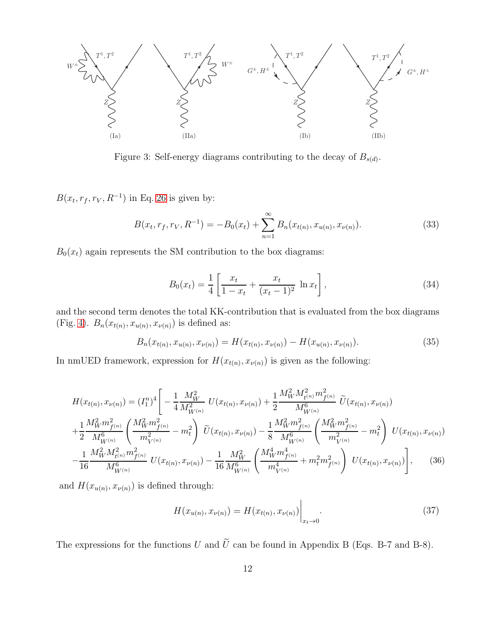

<span id="page-11-0"></span>Figure 3: Self-energy diagrams contributing to the decay of  $B_{s(d)}$ .

 $B(x_t, r_f, r_V, R^{-1})$  in Eq. [26](#page-9-1) is given by:

<span id="page-11-4"></span>
$$
B(x_t, r_f, r_V, R^{-1}) = -B_0(x_t) + \sum_{n=1}^{\infty} B_n(x_{t(n)}, x_{u(n)}, x_{v(n)}).
$$
\n(33)

 $B_0(x_t)$  again represents the SM contribution to the box diagrams:

<span id="page-11-2"></span>
$$
B_0(x_t) = \frac{1}{4} \left[ \frac{x_t}{1 - x_t} + \frac{x_t}{(x_t - 1)^2} \ln x_t \right],
$$
\n(34)

and the second term denotes the total KK-contribution that is evaluated from the box diagrams (Fig. [4\)](#page-12-0).  $B_n(x_{t(n)}, x_{u(n)}, x_{\nu(n)})$  is defined as:

<span id="page-11-1"></span>
$$
B_n(x_{t(n)}, x_{u(n)}, x_{v(n)}) = H(x_{t(n)}, x_{v(n)}) - H(x_{u(n)}, x_{v(n)}).
$$
\n(35)

In nmUED framework, expression for  $H(x_{t(n)}, x_{\nu(n)})$  is given as the following:

<span id="page-11-3"></span>
$$
H(x_{t(n)}, x_{\nu(n)}) = (I_1^n)^4 \left[ -\frac{1}{4} \frac{M_W^2}{M_{W^{(n)}}^2} U(x_{t(n)}, x_{\nu(n)}) + \frac{1}{2} \frac{M_W^2 M_{t(n)}^2 m_{f(n)}^2}{M_{W^{(n)}}^6} \tilde{U}(x_{t(n)}, x_{\nu(n)}) + \frac{1}{2} \frac{M_W^2 m_{f(n)}^2}{M_{W^{(n)}}^6} \left( \frac{M_W^2 m_{f(n)}^2}{m_{V^{(n)}}^2} - m_t^2 \right) \tilde{U}(x_{t(n)}, x_{\nu(n)}) - \frac{1}{8} \frac{M_W^2 m_{f(n)}^2}{M_{W^{(n)}}^6} \left( \frac{M_W^2 m_{f(n)}^2}{m_{V^{(n)}}^2} - m_t^2 \right) U(x_{t(n)}, x_{\nu(n)}) - \frac{1}{16} \frac{M_W^2 M_{t(n)}^2 m_{f(n)}^2}{M_{W^{(n)}}^6} \left( \frac{M_W^4 m_{f(n)}^4}{m_{V^{(n)}}^4} + m_t^2 m_{f(n)}^2 \right) U(x_{t(n)}, x_{\nu(n)}) \right], \quad (36)
$$

and  $H(x_{u(n)}, x_{v(n)})$  is defined through:

$$
H(x_{u(n)}, x_{\nu(n)}) = H(x_{t(n)}, x_{\nu(n)}) \Big|_{x_t \to 0}.
$$
\n(37)

The expressions for the functions U and  $\tilde{U}$  can be found in Appendix B (Eqs. B-7 and B-8).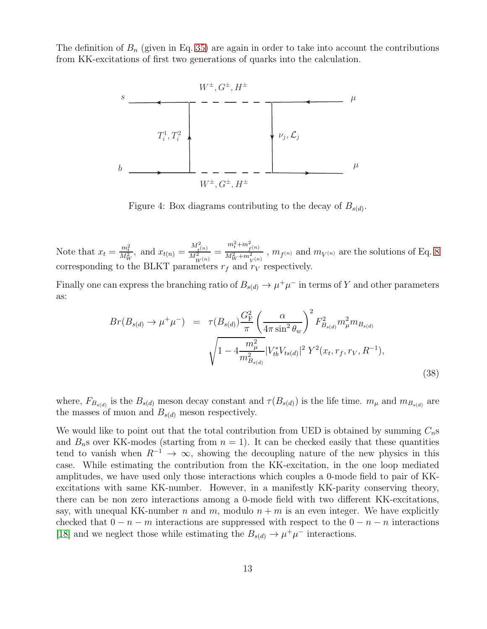The definition of  $B_n$  (given in Eq. [35\)](#page-11-1) are again in order to take into account the contributions from KK-excitations of first two generations of quarks into the calculation.



<span id="page-12-0"></span>Figure 4: Box diagrams contributing to the decay of  $B_{s(d)}$ .

Note that  $x_t = \frac{m_t^2}{M_W^2}$ , and  $x_{t(n)} = \frac{M_{t(n)}^2}{M_{W(n)}^2}$  $m_t^2 + m_{f(n)}^2$  $\frac{V^{(n)}_{W+m^2_{V^{(n)}}}}{M_W^2+m^2_{V^{(n)}}}$ ,  $m_{f^{(n)}}$  and  $m_{V^{(n)}}$  are the solutions of Eq. [8](#page-4-0) corresponding to the BLKT parameters  $r_f$  and  $r_V$  respectively.

Finally one can express the branching ratio of  $B_{s(d)} \to \mu^+\mu^-$  in terms of Y and other parameters as:

<span id="page-12-1"></span>
$$
Br(B_{s(d)} \to \mu^+ \mu^-) = \tau(B_{s(d)}) \frac{G_{\rm F}^2}{\pi} \left(\frac{\alpha}{4\pi \sin^2 \theta_w}\right)^2 F_{B_{s(d)}}^2 m_{\mu}^2 m_{B_{s(d)}} \sqrt{1 - 4 \frac{m_{\mu}^2}{m_{B_{s(d)}}^2} |V_{tb}^* V_{ts(d)}|^2 Y^2(x_t, r_f, r_V, R^{-1})},
$$
\n(38)

where,  $F_{B_{s(d)}}$  is the  $B_{s(d)}$  meson decay constant and  $\tau(B_{s(d)})$  is the life time.  $m_{\mu}$  and  $m_{B_{s(d)}}$  are the masses of muon and  $B_{s(d)}$  meson respectively.

We would like to point out that the total contribution from UED is obtained by summing  $C_n$ s and  $B_n$ s over KK-modes (starting from  $n = 1$ ). It can be checked easily that these quantities tend to vanish when  $R^{-1} \to \infty$ , showing the decoupling nature of the new physics in this case. While estimating the contribution from the KK-excitation, in the one loop mediated amplitudes, we have used only those interactions which couples a 0-mode field to pair of KKexcitations with same KK-number. However, in a manifestly KK-parity conserving theory, there can be non zero interactions among a 0-mode field with two different KK-excitations, say, with unequal KK-number n and m, modulo  $n + m$  is an even integer. We have explicitly checked that  $0 - n - m$  interactions are suppressed with respect to the  $0 - n - n$  interactions [\[18\]](#page-24-8) and we neglect those while estimating the  $B_{s(d)} \to \mu^+ \mu^-$  interactions.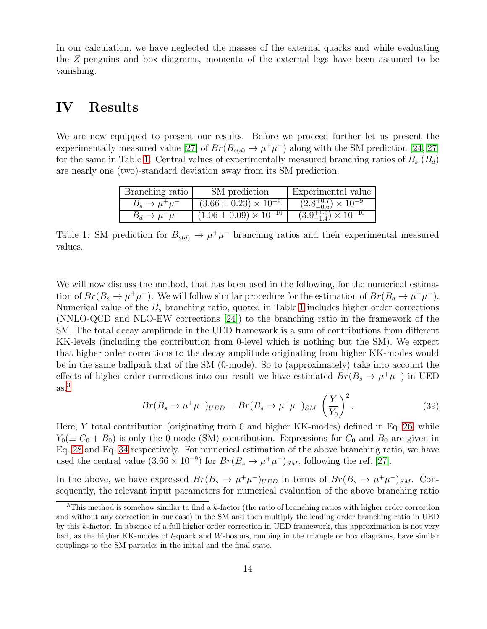In our calculation, we have neglected the masses of the external quarks and while evaluating the Z-penguins and box diagrams, momenta of the external legs have been assumed to be vanishing.

### IV Results

We are now equipped to present our results. Before we proceed further let us present the experimentally measured value [\[27\]](#page-25-2) of  $Br(B_{s(d)} \to \mu^+\mu^-)$  along with the SM prediction [\[24,](#page-24-14) [27\]](#page-25-2) for the same in Table [1.](#page-13-0) Central values of experimentally measured branching ratios of  $B_s$  ( $B_d$ ) are nearly one (two)-standard deviation away from its SM prediction.

| Branching ratio              | SM prediction                     | Experimental value                    |
|------------------------------|-----------------------------------|---------------------------------------|
| $B_s \to \mu^+\mu^-$         | $(3.66 \pm 0.23) \times 10^{-9}$  | $(2.8^{+0.7}_{-0.6}) \times 10^{-9}$  |
| $B_d \rightarrow \mu^+\mu^-$ | $(1.06 \pm 0.09) \times 10^{-10}$ | $(3.9^{+1.6}_{-1.4}) \times 10^{-10}$ |

<span id="page-13-0"></span>Table 1: SM prediction for  $B_{s(d)} \to \mu^+\mu^-$  branching ratios and their experimental measured values.

We will now discuss the method, that has been used in the following, for the numerical estimation of  $Br(B_s \to \mu^+\mu^-)$ . We will follow similar procedure for the estimation of  $Br(B_d \to \mu^+\mu^-)$ . Numerical value of the  $B<sub>s</sub>$  branching ratio, quoted in Table [1](#page-13-0) includes higher order corrections (NNLO-QCD and NLO-EW corrections [\[24\]](#page-24-14)) to the branching ratio in the framework of the SM. The total decay amplitude in the UED framework is a sum of contributions from different KK-levels (including the contribution from 0-level which is nothing but the SM). We expect that higher order corrections to the decay amplitude originating from higher KK-modes would be in the same ballpark that of the SM (0-mode). So to (approximately) take into account the effects of higher order corrections into our result we have estimated  $Br(B_s \to \mu^+ \mu^-)$  in UED  $\mathrm{as}$ <sup>[3](#page-13-1)</sup>

$$
Br(B_s \to \mu^+ \mu^-)_{UED} = Br(B_s \to \mu^+ \mu^-)_{SM} \left(\frac{Y}{Y_0}\right)^2.
$$
 (39)

Here, Y total contribution (originating from 0 and higher KK-modes) defined in Eq. [26,](#page-9-1) while  $Y_0 (\equiv C_0 + B_0)$  is only the 0-mode (SM) contribution. Expressions for  $C_0$  and  $B_0$  are given in Eq. [28](#page-9-2) and Eq. [34](#page-11-2) respectively. For numerical estimation of the above branching ratio, we have used the central value  $(3.66 \times 10^{-9})$  for  $Br(B_s \to \mu^+\mu^-)_{SM}$ , following the ref. [\[27\]](#page-25-2).

In the above, we have expressed  $Br(B_s \to \mu^+\mu^-)_{UED}$  in terms of  $Br(B_s \to \mu^+\mu^-)_{SM}$ . Consequently, the relevant input parameters for numerical evaluation of the above branching ratio

<span id="page-13-1"></span> $3$ This method is somehow similar to find a k-factor (the ratio of branching ratios with higher order correction and without any correction in our case) in the SM and then multiply the leading order branching ratio in UED by this k-factor. In absence of a full higher order correction in UED framework, this approximation is not very bad, as the higher KK-modes of t-quark and W-bosons, running in the triangle or box diagrams, have similar couplings to the SM particles in the initial and the final state.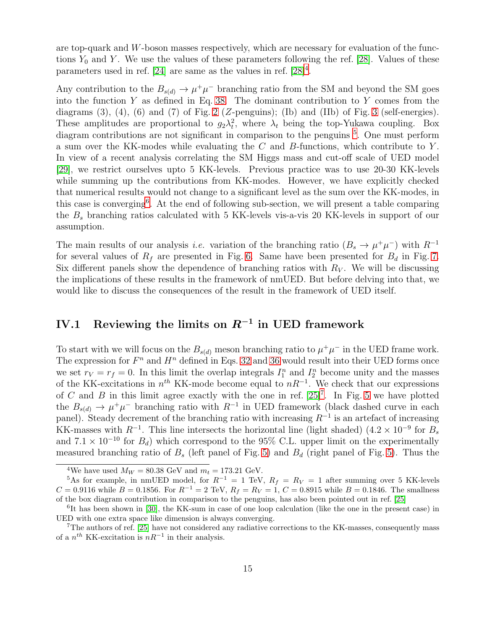are top-quark and  $W$ -boson masses respectively, which are necessary for evaluation of the functions  $Y_0$  and Y. We use the values of these parameters following the ref. [\[28\]](#page-25-3). Values of these parameters used in ref. [\[24\]](#page-24-14) are same as the values in ref.  $[28]^4$  $[28]^4$ .

Any contribution to the  $B_{s(d)} \to \mu^+\mu^-$  branching ratio from the SM and beyond the SM goes into the function  $Y$  as defined in Eq. [38.](#page-12-1) The dominant contribution to  $Y$  comes from the diagrams  $(3)$ ,  $(4)$ ,  $(6)$  and  $(7)$  of Fig. [2](#page-10-0) (Z-penguins); (Ib) and (IIb) of Fig. [3](#page-11-0) (self-energies). These amplitudes are proportional to  $g_2\lambda_t^2$ , where  $\lambda_t$  being the top-Yukawa coupling. Box diagram contributions are not significant in comparison to the penguins <sup>[5](#page-14-1)</sup>. One must perform a sum over the KK-modes while evaluating the  $C$  and  $B$ -functions, which contribute to  $Y$ . In view of a recent analysis correlating the SM Higgs mass and cut-off scale of UED model [\[29\]](#page-25-4), we restrict ourselves upto 5 KK-levels. Previous practice was to use 20-30 KK-levels while summing up the contributions from KK-modes. However, we have explicitly checked that numerical results would not change to a significant level as the sum over the KK-modes, in this case is converging[6](#page-14-2) . At the end of following sub-section, we will present a table comparing the  $B_s$  branching ratios calculated with 5 KK-levels vis-a-vis 20 KK-levels in support of our assumption.

The main results of our analysis *i.e.* variation of the branching ratio  $(B_s \to \mu^+ \mu^-)$  with  $R^{-1}$ for several values of  $R_f$  are presented in Fig. [6.](#page-17-0) Same have been presented for  $B_d$  in Fig. [7.](#page-18-0) Six different panels show the dependence of branching ratios with  $R_V$ . We will be discussing the implications of these results in the framework of nmUED. But before delving into that, we would like to discuss the consequences of the result in the framework of UED itself.

## IV.1 Reviewing the limits on  $R^{-1}$  in UED framework

To start with we will focus on the  $B_{s(d)}$  meson branching ratio to  $\mu^+\mu^-$  in the UED frame work. The expression for  $F^n$  and  $H^n$  defined in Eqs. [32](#page-10-1) and [36](#page-11-3) would result into their UED forms once we set  $r_V = r_f = 0$ . In this limit the overlap integrals  $I_1^n$  and  $I_2^n$  become unity and the masses of the KK-excitations in  $n^{th}$  KK-mode become equal to  $nR^{-1}$ . We check that our expressions of C and B in this limit agree exactly with the one in ref.  $[25]^7$  $[25]^7$ . In Fig. [5](#page-15-0) we have plotted the  $B_{s(d)} \to \mu^+\mu^-$  branching ratio with  $R^{-1}$  in UED framework (black dashed curve in each panel). Steady decrement of the branching ratio with increasing  $R^{-1}$  is an artefact of increasing KK-masses with  $R^{-1}$ . This line intersects the horizontal line (light shaded)  $(4.2 \times 10^{-9}$  for  $B_s$ and  $7.1 \times 10^{-10}$  for  $B_d$ ) which correspond to the 95% C.L. upper limit on the experimentally measured branching ratio of  $B<sub>s</sub>$  (left panel of Fig. [5\)](#page-15-0) and  $B<sub>d</sub>$  (right panel of Fig. 5). Thus the

<span id="page-14-0"></span><sup>&</sup>lt;sup>4</sup>We have used  $M_W = 80.38$  GeV and  $m_t = 173.21$  GeV.

<span id="page-14-1"></span><sup>&</sup>lt;sup>5</sup>As for example, in nmUED model, for  $R^{-1} = 1$  TeV,  $R_f = R_V = 1$  after summing over 5 KK-levels  $C = 0.9116$  while  $B = 0.1856$ . For  $R^{-1} = 2$  TeV,  $R_f = R_V = 1$ ,  $C = 0.8915$  while  $B = 0.1846$ . The smallness of the box diagram contribution in comparison to the penguins, has also been pointed out in ref. [\[25\]](#page-25-0)

<span id="page-14-2"></span><sup>&</sup>lt;sup>6</sup>It has been shown in [\[30\]](#page-25-5), the KK-sum in case of one loop calculation (like the one in the present case) in UED with one extra space like dimension is always converging.

<span id="page-14-3"></span><sup>7</sup>The authors of ref. [\[25\]](#page-25-0) have not considered any radiative corrections to the KK-masses, consequently mass of a  $n^{th}$  KK-excitation is  $nR^{-1}$  in their analysis.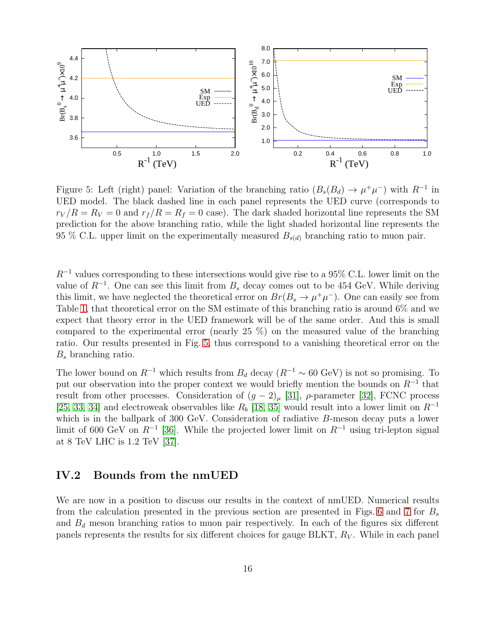

<span id="page-15-0"></span>Figure 5: Left (right) panel: Variation of the branching ratio  $(B_s(B_d) \to \mu^+\mu^-)$  with  $R^{-1}$  in UED model. The black dashed line in each panel represents the UED curve (corresponds to  $r_V/R = R_V = 0$  and  $r_f/R = R_f = 0$  case). The dark shaded horizontal line represents the SM prediction for the above branching ratio, while the light shaded horizontal line represents the 95 % C.L. upper limit on the experimentally measured  $B_{s(d)}$  branching ratio to muon pair.

 $R^{-1}$  values corresponding to these intersections would give rise to a 95% C.L. lower limit on the value of  $R^{-1}$ . One can see this limit from  $B_s$  decay comes out to be 454 GeV. While deriving this limit, we have neglected the theoretical error on  $Br(B_s \to \mu^+\mu^-)$ . One can easily see from Table [1,](#page-13-0) that theoretical error on the SM estimate of this branching ratio is around 6% and we expect that theory error in the UED framework will be of the same order. And this is small compared to the experimental error (nearly 25 %) on the measured value of the branching ratio. Our results presented in Fig. [5,](#page-15-0) thus correspond to a vanishing theoretical error on the  $B<sub>s</sub>$  branching ratio.

The lower bound on  $R^{-1}$  which results from  $B_d$  decay  $(R^{-1} \sim 60 \text{ GeV})$  is not so promising. To put our observation into the proper context we would briefly mention the bounds on  $R^{-1}$  that result from other processes. Consideration of  $(g-2)_{\mu}$  [\[31\]](#page-25-6),  $\rho$ -parameter [\[32\]](#page-25-7), FCNC process [\[25,](#page-25-0) [33,](#page-25-8) [34\]](#page-25-9) and electroweak observables like  $R_b$  [\[18,](#page-24-8) [35\]](#page-25-10) would result into a lower limit on  $R^{-1}$ which is in the ballpark of 300 GeV. Consideration of radiative B-meson decay puts a lower limit of 600 GeV on  $R^{-1}$  [\[36\]](#page-25-11). While the projected lower limit on  $R^{-1}$  using tri-lepton signal at 8 TeV LHC is 1.2 TeV [\[37\]](#page-25-12).

#### IV.2 Bounds from the nmUED

We are now in a position to discuss our results in the context of nmUED. Numerical results from the calculation presented in the previous section are presented in Figs. [6](#page-17-0) and [7](#page-18-0) for  $B_s$ and  $B_d$  meson branching ratios to muon pair respectively. In each of the figures six different panels represents the results for six different choices for gauge BLKT,  $R_V$ . While in each panel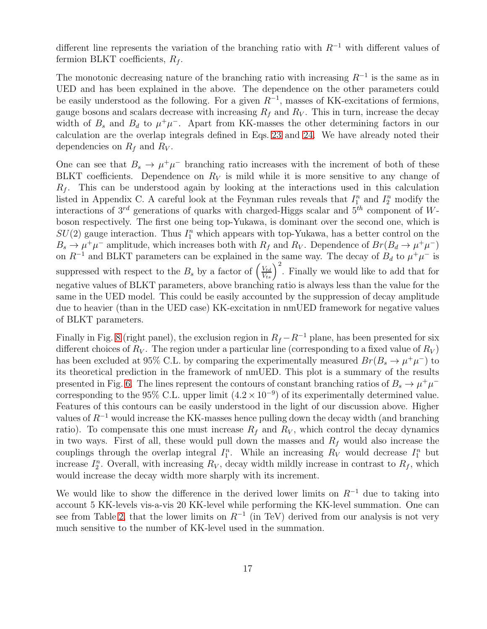different line represents the variation of the branching ratio with  $R^{-1}$  with different values of fermion BLKT coefficients,  $R_f$ .

The monotonic decreasing nature of the branching ratio with increasing  $R^{-1}$  is the same as in UED and has been explained in the above. The dependence on the other parameters could be easily understood as the following. For a given  $R^{-1}$ , masses of KK-excitations of fermions, gauge bosons and scalars decrease with increasing  $R_f$  and  $R_V$ . This in turn, increase the decay width of  $B_s$  and  $B_d$  to  $\mu^+\mu^-$ . Apart from KK-masses the other determining factors in our calculation are the overlap integrals defined in Eqs. [23](#page-7-2) and [24.](#page-7-3) We have already noted their dependencies on  $R_f$  and  $R_V$ .

One can see that  $B_s \to \mu^+\mu^-$  branching ratio increases with the increment of both of these BLKT coefficients. Dependence on  $R_V$  is mild while it is more sensitive to any change of  $R_f$ . This can be understood again by looking at the interactions used in this calculation listed in Appendix C. A careful look at the Feynman rules reveals that  $I_1^n$  and  $I_2^n$  modify the interactions of  $3^{rd}$  generations of quarks with charged-Higgs scalar and  $5^{th}$  component of Wboson respectively. The first one being top-Yukawa, is dominant over the second one, which is  $SU(2)$  gauge interaction. Thus  $I_1^n$  which appears with top-Yukawa, has a better control on the  $B_s \to \mu^+\mu^-$  amplitude, which increases both with  $R_f$  and  $R_V$ . Dependence of  $Br(B_d \to \mu^+\mu^-)$ on  $R^{-1}$  and BLKT parameters can be explained in the same way. The decay of  $B_d$  to  $\mu^+\mu^-$  is suppressed with respect to the  $B_s$  by a factor of  $\left(\frac{V_{td}}{V_{ts}}\right)^2$ . Finally we would like to add that for negative values of BLKT parameters, above branching ratio is always less than the value for the same in the UED model. This could be easily accounted by the suppression of decay amplitude due to heavier (than in the UED case) KK-excitation in nmUED framework for negative values of BLKT parameters.

Finally in Fig. [8](#page-21-0) (right panel), the exclusion region in  $R_f - R^{-1}$  plane, has been presented for six different choices of  $R_V$ . The region under a particular line (corresponding to a fixed value of  $R_V$ ) has been excluded at 95% C.L. by comparing the experimentally measured  $Br(B_s \to \mu^+\mu^-)$  to its theoretical prediction in the framework of nmUED. This plot is a summary of the results presented in Fig. [6.](#page-17-0) The lines represent the contours of constant branching ratios of  $B_s \to \mu^+\mu^$ corresponding to the 95% C.L. upper limit  $(4.2 \times 10^{-9})$  of its experimentally determined value. Features of this contours can be easily understood in the light of our discussion above. Higher values of  $R^{-1}$  would increase the KK-masses hence pulling down the decay width (and branching ratio). To compensate this one must increase  $R_f$  and  $R_V$ , which control the decay dynamics in two ways. First of all, these would pull down the masses and  $R_f$  would also increase the couplings through the overlap integral  $I_1^n$ . While an increasing  $R_V$  would decrease  $I_1^n$  but increase  $I_2^n$ . Overall, with increasing  $R_V$ , decay width mildly increase in contrast to  $R_f$ , which would increase the decay width more sharply with its increment.

We would like to show the difference in the derived lower limits on  $R^{-1}$  due to taking into account 5 KK-levels vis-a-vis 20 KK-level while performing the KK-level summation. One can see from Table [2,](#page-19-0) that the lower limits on  $R^{-1}$  (in TeV) derived from our analysis is not very much sensitive to the number of KK-level used in the summation.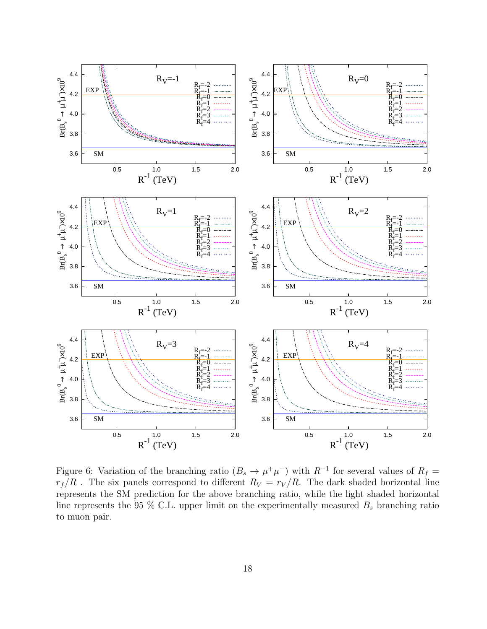

<span id="page-17-0"></span>Figure 6: Variation of the branching ratio  $(B_s \to \mu^+\mu^-)$  with  $R^{-1}$  for several values of  $R_f =$  $r_f/R$ . The six panels correspond to different  $R_V = r_V/R$ . The dark shaded horizontal line represents the SM prediction for the above branching ratio, while the light shaded horizontal line represents the 95 % C.L. upper limit on the experimentally measured  $B_s$  branching ratio to muon pair.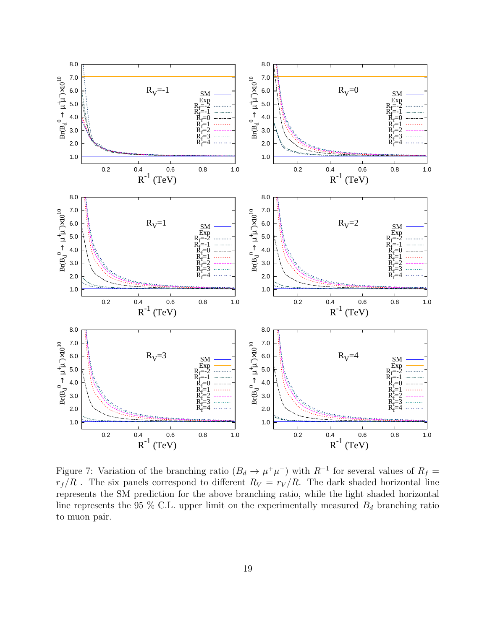

<span id="page-18-0"></span>Figure 7: Variation of the branching ratio  $(B_d \to \mu^+\mu^-)$  with  $R^{-1}$  for several values of  $R_f =$  $r_f/R$ . The six panels correspond to different  $R_V = r_V/R$ . The dark shaded horizontal line represents the SM prediction for the above branching ratio, while the light shaded horizontal line represents the 95 % C.L. upper limit on the experimentally measured  $B_d$  branching ratio to muon pair.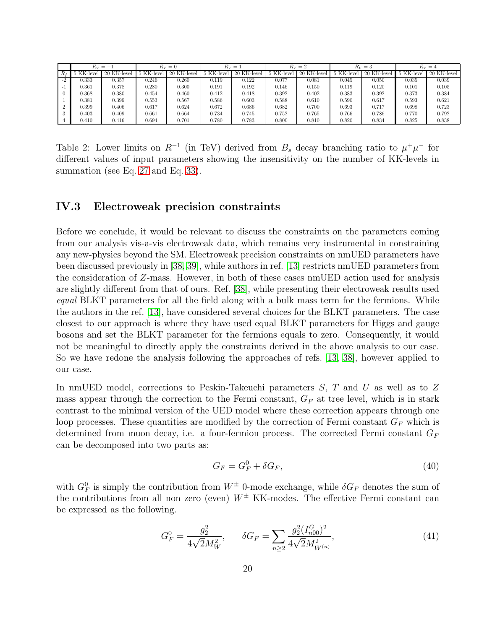| $R_V=-1$   |             | $R_V=0$  |             | $R_V =$  |             | $R_V=2$    |             | $R_V=3$  |             | $R_V=4$      |             |
|------------|-------------|----------|-------------|----------|-------------|------------|-------------|----------|-------------|--------------|-------------|
| 5 KK-level | 20 KK-level | KK-level | 20 KK-level | KK-level | 20 KK-level | 5 KK-level | 20 KK-level | KK-level | 20 KK-level | $5$ KK-level | 20 KK-level |
| 0.333      | 0.357       | 0.246    | 0.260       | 0.119    | 0.122       | $_{0.077}$ | 0.081       | 0.045    | 0.050       | 0.035        | 0.039       |
| 0.361      | 0.378       | 0.280    | 0.300       | 0.191    | 0.192       | 0.146      | 0.150       | 0.119    | 0.120       | 0.101        | 0.105       |
| ).368      | 0.380       | 0.454    | 0.460       | 0.412    | 0.418       | 0.392      | 0.402       | 0.383    | 0.392       | 0.373        | 0.384       |
| 0.381      | 0.399       | 0.553    | 0.567       | 0.586    | 0.603       | 0.588      | 0.610       | 0.590    | 0.617       | 0.593        | 0.621       |
| ).399      | 0.406       | 0.617    | 0.624       | 0.672    | 0.686       | 0.682      | 0.700       | 0.693    | 0.717       | 0.698        | 0.723       |
| 0.403      | 0.409       | 0.661    | 0.664       | 0.734    | 0.745       | 0.752      | 0.765       | 0.766    | 0.786       | 0.770        | 0.792       |
| 0.410      | 0.416       | 0.694    | 0.701       | 0.780    | 0.783       | 0.800      | 0.810       | 0.820    | 0.834       | 0.825        | 0.838       |

<span id="page-19-0"></span>Table 2: Lower limits on  $R^{-1}$  (in TeV) derived from  $B_s$  decay branching ratio to  $\mu^+\mu^-$  for different values of input parameters showing the insensitivity on the number of KK-levels in summation (see Eq. [27](#page-9-3) and Eq. [33\)](#page-11-4).

#### IV.3 Electroweak precision constraints

Before we conclude, it would be relevant to discuss the constraints on the parameters coming from our analysis vis-a-vis electroweak data, which remains very instrumental in constraining any new-physics beyond the SM. Electroweak precision constraints on nmUED parameters have been discussed previously in [\[38,](#page-25-13) [39\]](#page-25-14), while authors in ref. [\[13\]](#page-24-3) restricts nmUED parameters from the consideration of Z-mass. However, in both of these cases nmUED action used for analysis are slightly different from that of ours. Ref. [\[38\]](#page-25-13), while presenting their electroweak results used equal BLKT parameters for all the field along with a bulk mass term for the fermions. While the authors in the ref. [\[13\]](#page-24-3), have considered several choices for the BLKT parameters. The case closest to our approach is where they have used equal BLKT parameters for Higgs and gauge bosons and set the BLKT parameter for the fermions equals to zero. Consequently, it would not be meaningful to directly apply the constraints derived in the above analysis to our case. So we have redone the analysis following the approaches of refs. [\[13,](#page-24-3) [38\]](#page-25-13), however applied to our case.

In nmUED model, corrections to Peskin-Takeuchi parameters S, T and U as well as to Z mass appear through the correction to the Fermi constant,  $G_F$  at tree level, which is in stark contrast to the minimal version of the UED model where these correction appears through one loop processes. These quantities are modified by the correction of Fermi constant  $G_F$  which is determined from muon decay, i.e. a four-fermion process. The corrected Fermi constant  $G_F$ can be decomposed into two parts as:

$$
G_F = G_F^0 + \delta G_F,\tag{40}
$$

with  $G_F^0$  is simply the contribution from  $W^{\pm}$  0-mode exchange, while  $\delta G_F$  denotes the sum of the contributions from all non zero (even)  $W^{\pm}$  KK-modes. The effective Fermi constant can be expressed as the following.

$$
G_F^0 = \frac{g_2^2}{4\sqrt{2}M_W^2}, \qquad \delta G_F = \sum_{n\geq 2} \frac{g_2^2 (I_{n00}^G)^2}{4\sqrt{2}M_{W^{(n)}}^2},\tag{41}
$$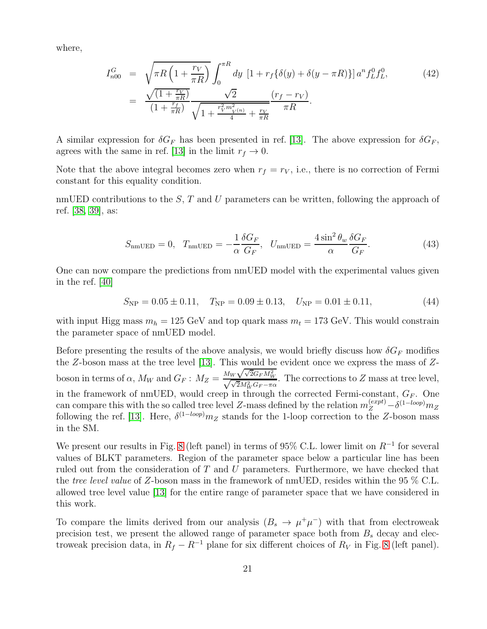where,

$$
I_{n00}^{G} = \sqrt{\pi R \left(1 + \frac{r_V}{\pi R}\right)} \int_0^{\pi R} dy \left[1 + r_f \{\delta(y) + \delta(y - \pi R)\}\right] a^n f_L^0 f_L^0,
$$
\n
$$
= \frac{\sqrt{\left(1 + \frac{r_V}{\pi R}\right)}}{\left(1 + \frac{r_f}{\pi R}\right)} \frac{\sqrt{2}}{\sqrt{1 + \frac{r_V^2 m_V^2(n)}{4} + \frac{r_V}{\pi R}}}} \frac{(r_f - r_V)}{\pi R}.
$$
\n(42)

A similar expression for  $\delta G_F$  has been presented in ref. [\[13\]](#page-24-3). The above expression for  $\delta G_F$ , agrees with the same in ref. [\[13\]](#page-24-3) in the limit  $r_f \to 0$ .

Note that the above integral becomes zero when  $r_f = r_V$ , i.e., there is no correction of Fermi constant for this equality condition.

nmUED contributions to the  $S$ , T and U parameters can be written, following the approach of ref. [\[38,](#page-25-13) [39\]](#page-25-14), as:

$$
S_{\text{nmUED}} = 0, T_{\text{nmUED}} = -\frac{1}{\alpha} \frac{\delta G_F}{G_F}, U_{\text{nmUED}} = \frac{4 \sin^2 \theta_w}{\alpha} \frac{\delta G_F}{G_F}.
$$
 (43)

One can now compare the predictions from nmUED model with the experimental values given in the ref. [\[40\]](#page-25-15)

$$
S_{\rm NP} = 0.05 \pm 0.11, \quad T_{\rm NP} = 0.09 \pm 0.13, \quad U_{\rm NP} = 0.01 \pm 0.11, \tag{44}
$$

with input Higg mass  $m_h = 125$  GeV and top quark mass  $m_t = 173$  GeV. This would constrain the parameter space of nmUED model.

Before presenting the results of the above analysis, we would briefly discuss how  $\delta G_F$  modifies the  $Z$ -boson mass at the tree level [\[13\]](#page-24-3). This would be evident once we express the mass of  $Z$ boson in terms of  $\alpha$ ,  $M_W$  and  $G_F$  :  $M_Z = \frac{M_W \sqrt{\sqrt{2}G_F M_W^2}}{\sqrt{\sqrt{2}M_W^2 G_F - \pi \alpha}}$ . The corrections to  $Z$  mass at tree level, in the framework of nmUED, would creep in through the corrected Fermi-constant,  $G_F$ . One can compare this with the so called tree level Z-mass defined by the relation  $m_Z^{(expt)} - \delta^{(1-loop)} m_Z$ following the ref. [\[13\]](#page-24-3). Here,  $\delta^{(1-loop)}m_Z$  stands for the 1-loop correction to the Z-boson mass in the SM.

We present our results in Fig. [8](#page-21-0) (left panel) in terms of 95% C.L. lower limit on  $R^{-1}$  for several values of BLKT parameters. Region of the parameter space below a particular line has been ruled out from the consideration of T and U parameters. Furthermore, we have checked that the tree level value of Z-boson mass in the framework of nmUED, resides within the 95 % C.L. allowed tree level value [\[13\]](#page-24-3) for the entire range of parameter space that we have considered in this work.

To compare the limits derived from our analysis  $(B_s \to \mu^+\mu^-)$  with that from electroweak precision test, we present the allowed range of parameter space both from  $B<sub>s</sub>$  decay and electroweak precision data, in  $R_f - R^{-1}$  plane for six different choices of  $R_V$  in Fig. [8](#page-21-0) (left panel).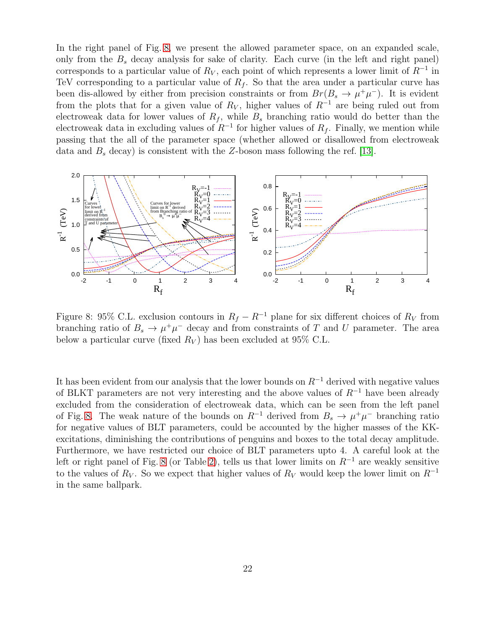In the right panel of Fig. [8,](#page-21-0) we present the allowed parameter space, on an expanded scale, only from the  $B_s$  decay analysis for sake of clarity. Each curve (in the left and right panel) corresponds to a particular value of  $R_V$ , each point of which represents a lower limit of  $R^{-1}$  in TeV corresponding to a particular value of  $R_f$ . So that the area under a particular curve has been dis-allowed by either from precision constraints or from  $Br(B_s \to \mu^+\mu^-)$ . It is evident from the plots that for a given value of  $R_V$ , higher values of  $R^{-1}$  are being ruled out from electroweak data for lower values of  $R_f$ , while  $B_s$  branching ratio would do better than the electroweak data in excluding values of  $R^{-1}$  for higher values of  $R_f$ . Finally, we mention while passing that the all of the parameter space (whether allowed or disallowed from electroweak data and  $B_s$  decay) is consistent with the Z-boson mass following the ref. [\[13\]](#page-24-3).



<span id="page-21-0"></span>Figure 8: 95% C.L. exclusion contours in  $R_f - R^{-1}$  plane for six different choices of  $R_V$  from branching ratio of  $B_s \to \mu^+\mu^-$  decay and from constraints of T and U parameter. The area below a particular curve (fixed  $R_V$ ) has been excluded at 95% C.L.

It has been evident from our analysis that the lower bounds on  $R^{-1}$  derived with negative values of BLKT parameters are not very interesting and the above values of  $R^{-1}$  have been already excluded from the consideration of electroweak data, which can be seen from the left panel of Fig. [8.](#page-21-0) The weak nature of the bounds on  $R^{-1}$  derived from  $B_s \to \mu^+\mu^-$  branching ratio for negative values of BLT parameters, could be accounted by the higher masses of the KKexcitations, diminishing the contributions of penguins and boxes to the total decay amplitude. Furthermore, we have restricted our choice of BLT parameters upto 4. A careful look at the left or right panel of Fig. [8](#page-21-0) (or Table [2\)](#page-19-0), tells us that lower limits on  $R^{-1}$  are weakly sensitive to the values of  $R_V$ . So we expect that higher values of  $R_V$  would keep the lower limit on  $R^{-1}$ in the same ballpark.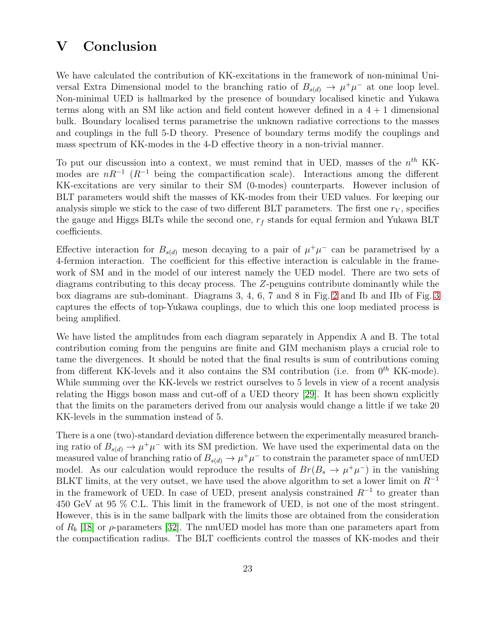### V Conclusion

We have calculated the contribution of KK-excitations in the framework of non-minimal Universal Extra Dimensional model to the branching ratio of  $B_{s(d)} \to \mu^+\mu^-$  at one loop level. Non-minimal UED is hallmarked by the presence of boundary localised kinetic and Yukawa terms along with an SM like action and field content however defined in a  $4+1$  dimensional bulk. Boundary localised terms parametrise the unknown radiative corrections to the masses and couplings in the full 5-D theory. Presence of boundary terms modify the couplings and mass spectrum of KK-modes in the 4-D effective theory in a non-trivial manner.

To put our discussion into a context, we must remind that in UED, masses of the  $n<sup>th</sup>$  KKmodes are  $nR^{-1}$  ( $R^{-1}$  being the compactification scale). Interactions among the different KK-excitations are very similar to their SM (0-modes) counterparts. However inclusion of BLT parameters would shift the masses of KK-modes from their UED values. For keeping our analysis simple we stick to the case of two different BLT parameters. The first one  $r_V$ , specifies the gauge and Higgs BLTs while the second one,  $r_f$  stands for equal fermion and Yukawa BLT coefficients.

Effective interaction for  $B_{s(d)}$  meson decaying to a pair of  $\mu^+\mu^-$  can be parametrised by a 4-fermion interaction. The coefficient for this effective interaction is calculable in the framework of SM and in the model of our interest namely the UED model. There are two sets of diagrams contributing to this decay process. The Z-penguins contribute dominantly while the box diagrams are sub-dominant. Diagrams 3, 4, 6, 7 and 8 in Fig. [2](#page-10-0) and Ib and IIb of Fig. [3](#page-11-0) captures the effects of top-Yukawa couplings, due to which this one loop mediated process is being amplified.

We have listed the amplitudes from each diagram separately in Appendix A and B. The total contribution coming from the penguins are finite and GIM mechanism plays a crucial role to tame the divergences. It should be noted that the final results is sum of contributions coming from different KK-levels and it also contains the SM contribution (i.e. from  $0^{th}$  KK-mode). While summing over the KK-levels we restrict ourselves to 5 levels in view of a recent analysis relating the Higgs boson mass and cut-off of a UED theory [\[29\]](#page-25-4). It has been shown explicitly that the limits on the parameters derived from our analysis would change a little if we take 20 KK-levels in the summation instead of 5.

There is a one (two)-standard deviation difference between the experimentally measured branching ratio of  $B_{s(d)} \to \mu^+\mu^-$  with its SM prediction. We have used the experimental data on the measured value of branching ratio of  $B_{s(d)} \to \mu^+\mu^-$  to constrain the parameter space of nmUED model. As our calculation would reproduce the results of  $Br(B_s \to \mu^+\mu^-)$  in the vanishing BLKT limits, at the very outset, we have used the above algorithm to set a lower limit on  $R^{-1}$ in the framework of UED. In case of UED, present analysis constrained  $R^{-1}$  to greater than 450 GeV at 95 % C.L. This limit in the framework of UED, is not one of the most stringent. However, this is in the same ballpark with the limits those are obtained from the consideration of  $R_b$  [\[18\]](#page-24-8) or  $\rho$ -parameters [\[32\]](#page-25-7). The nmUED model has more than one parameters apart from the compactification radius. The BLT coefficients control the masses of KK-modes and their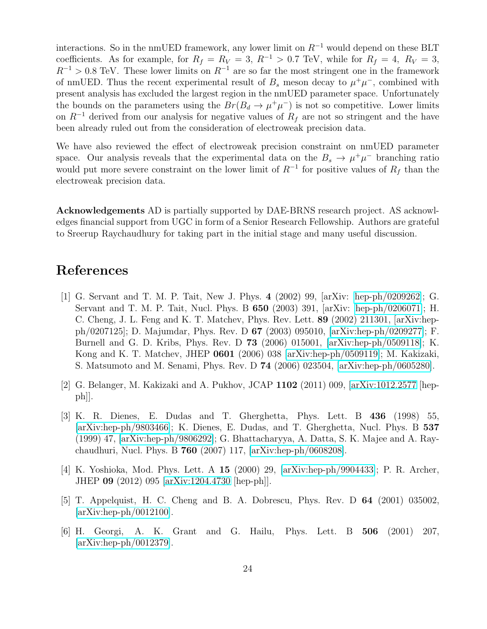interactions. So in the nmUED framework, any lower limit on  $R^{-1}$  would depend on these BLT coefficients. As for example, for  $R_f = R_V = 3$ ,  $R^{-1} > 0.7$  TeV, while for  $R_f = 4$ ,  $R_V = 3$ ,  $R^{-1} > 0.8$  TeV. These lower limits on  $R^{-1}$  are so far the most stringent one in the framework of nmUED. Thus the recent experimental result of  $B_s$  meson decay to  $\mu^+\mu^-$ , combined with present analysis has excluded the largest region in the nmUED parameter space. Unfortunately the bounds on the parameters using the  $Br(B_d \to \mu^+\mu^-)$  is not so competitive. Lower limits on  $R^{-1}$  derived from our analysis for negative values of  $R_f$  are not so stringent and the have been already ruled out from the consideration of electroweak precision data.

We have also reviewed the effect of electroweak precision constraint on nmUED parameter space. Our analysis reveals that the experimental data on the  $B_s \to \mu^+\mu^-$  branching ratio would put more severe constraint on the lower limit of  $R^{-1}$  for positive values of  $R_f$  than the electroweak precision data.

Acknowledgements AD is partially supported by DAE-BRNS research project. AS acknowledges financial support from UGC in form of a Senior Research Fellowship. Authors are grateful to Sreerup Raychaudhury for taking part in the initial stage and many useful discussion.

### <span id="page-23-0"></span>References

- [1] G. Servant and T. M. P. Tait, New J. Phys. 4 (2002) 99, [arXiv: [hep-ph/0209262\]](http://arxiv.org/abs/hep-ph/0209262); G. Servant and T. M. P. Tait, Nucl. Phys. B 650 (2003) 391, [arXiv: [hep-ph/0206071\]](http://arxiv.org/abs/hep-ph/0206071); H. C. Cheng, J. L. Feng and K. T. Matchev, Phys. Rev. Lett. 89 (2002) 211301, [arXiv:hepph/0207125]; D. Majumdar, Phys. Rev. D 67 (2003) 095010, [\[arXiv:hep-ph/0209277\]](http://arxiv.org/abs/hep-ph/0209277); F. Burnell and G. D. Kribs, Phys. Rev. D 73 (2006) 015001, [\[arXiv:hep-ph/0509118\]](http://arxiv.org/abs/hep-ph/0509118); K. Kong and K. T. Matchev, JHEP 0601 (2006) 038 [\[arXiv:hep-ph/0509119\]](http://arxiv.org/abs/hep-ph/0509119); M. Kakizaki, S. Matsumoto and M. Senami, Phys. Rev. D 74 (2006) 023504, [\[arXiv:hep-ph/0605280\]](http://arxiv.org/abs/hep-ph/0605280).
- <span id="page-23-1"></span>[2] G. Belanger, M. Kakizaki and A. Pukhov, JCAP 1102 (2011) 009, [\[arXiv:1012.2577](http://arxiv.org/abs/1012.2577) [hepph]].
- <span id="page-23-2"></span>[3] K. R. Dienes, E. Dudas and T. Gherghetta, Phys. Lett. B 436 (1998) 55, [\[arXiv:hep-ph/9803466\]](http://arxiv.org/abs/hep-ph/9803466); K. Dienes, E. Dudas, and T. Gherghetta, Nucl. Phys. B 537 (1999) 47, [\[arXiv:hep-ph/9806292\]](http://arxiv.org/abs/hep-ph/9806292); G. Bhattacharyya, A. Datta, S. K. Majee and A. Raychaudhuri, Nucl. Phys. B 760 (2007) 117, [\[arXiv:hep-ph/0608208\]](http://arxiv.org/abs/hep-ph/0608208).
- <span id="page-23-3"></span>[4] K. Yoshioka, Mod. Phys. Lett. A 15 (2000) 29, [\[arXiv:hep-ph/9904433\]](http://arxiv.org/abs/hep-ph/9904433); P. R. Archer, JHEP 09 (2012) 095 [\[arXiv:1204.4730](http://arxiv.org/abs/1204.4730) [hep-ph]].
- <span id="page-23-4"></span>[5] T. Appelquist, H. C. Cheng and B. A. Dobrescu, Phys. Rev. D 64 (2001) 035002, [\[arXiv:hep-ph/0012100\]](http://arxiv.org/abs/hep-ph/0012100).
- <span id="page-23-5"></span>[6] H. Georgi, A. K. Grant and G. Hailu, Phys. Lett. B 506 (2001) 207, [\[arXiv:hep-ph/0012379\]](http://arxiv.org/abs/hep-ph/0012379).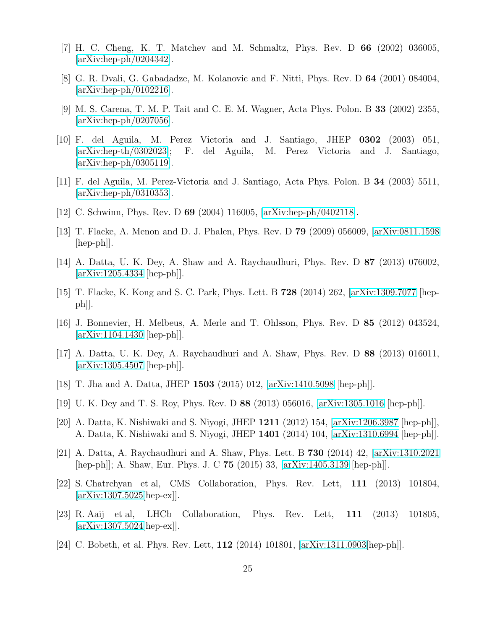- <span id="page-24-1"></span><span id="page-24-0"></span>[7] H. C. Cheng, K. T. Matchev and M. Schmaltz, Phys. Rev. D 66 (2002) 036005, [\[arXiv:hep-ph/0204342\]](http://arxiv.org/abs/hep-ph/0204342).
- <span id="page-24-16"></span>[8] G. R. Dvali, G. Gabadadze, M. Kolanovic and F. Nitti, Phys. Rev. D 64 (2001) 084004,  $\arXiv:hep-ph/0102216$ .
- [9] M. S. Carena, T. M. P. Tait and C. E. M. Wagner, Acta Phys. Polon. B 33 (2002) 2355, [\[arXiv:hep-ph/0207056\]](http://arxiv.org/abs/hep-ph/0207056).
- [10] F. del Aguila, M. Perez Victoria and J. Santiago, JHEP 0302 (2003) 051, [\[arXiv:hep-th/0302023\]](http://arxiv.org/abs/hep-th/0302023); F. del Aguila, M. Perez Victoria and J. Santiago, [\[arXiv:hep-ph/0305119\]](http://arxiv.org/abs/hep-ph/0305119).
- <span id="page-24-15"></span><span id="page-24-4"></span>[11] F. del Aguila, M. Perez-Victoria and J. Santiago, Acta Phys. Polon. B 34 (2003) 5511, [\[arXiv:hep-ph/0310353\]](http://arxiv.org/abs/hep-ph/0310353).
- <span id="page-24-3"></span>[12] C. Schwinn, Phys. Rev. D 69 (2004) 116005, [\[arXiv:hep-ph/0402118\]](http://arxiv.org/abs/hep-ph/0402118).
- <span id="page-24-2"></span>[13] T. Flacke, A. Menon and D. J. Phalen, Phys. Rev. D 79 (2009) 056009, [\[arXiv:0811.1598](http://arxiv.org/abs/0811.1598)  $\vert \text{hep-ph} \vert$ .
- <span id="page-24-5"></span>[14] A. Datta, U. K. Dey, A. Shaw and A. Raychaudhuri, Phys. Rev. D 87 (2013) 076002, [\[arXiv:1205.4334](http://arxiv.org/abs/1205.4334) [hep-ph]].
- <span id="page-24-6"></span>[15] T. Flacke, K. Kong and S. C. Park, Phys. Lett. B 728 (2014) 262, [\[arXiv:1309.7077](http://arxiv.org/abs/1309.7077) [hepph]].
- [16] J. Bonnevier, H. Melbeus, A. Merle and T. Ohlsson, Phys. Rev. D 85 (2012) 043524,  $\arXiv:1104.1430$   $\vert\text{hep-ph}\vert\vert$ .
- <span id="page-24-7"></span>[17] A. Datta, U. K. Dey, A. Raychaudhuri and A. Shaw, Phys. Rev. D 88 (2013) 016011, [\[arXiv:1305.4507](http://arxiv.org/abs/1305.4507) [hep-ph]].
- <span id="page-24-9"></span><span id="page-24-8"></span>[18] T. Jha and A. Datta, JHEP 1503 (2015) 012, [\[arXiv:1410.5098](http://arxiv.org/abs/1410.5098) [hep-ph]].
- <span id="page-24-10"></span>[19] U. K. Dey and T. S. Roy, Phys. Rev. D 88 (2013) 056016, [\[arXiv:1305.1016](http://arxiv.org/abs/1305.1016) [hep-ph]].
- <span id="page-24-11"></span>[20] A. Datta, K. Nishiwaki and S. Niyogi, JHEP 1211 (2012) 154, [\[arXiv:1206.3987](http://arxiv.org/abs/1206.3987) [hep-ph]], A. Datta, K. Nishiwaki and S. Niyogi, JHEP 1401 (2014) 104, [\[arXiv:1310.6994](http://arxiv.org/abs/1310.6994) [hep-ph]].
- [21] A. Datta, A. Raychaudhuri and A. Shaw, Phys. Lett. B 730 (2014) 42, [\[arXiv:1310.2021](http://arxiv.org/abs/1310.2021) [hep-ph]]; A. Shaw, Eur. Phys. J. C 75 (2015) 33, [\[arXiv:1405.3139](http://arxiv.org/abs/1405.3139) [hep-ph]].
- <span id="page-24-12"></span>[22] S. Chatrchyan et al, CMS Collaboration, Phys. Rev. Lett, 111 (2013) 101804, [\[arXiv:1307.5025\[](http://arxiv.org/abs/1307.5025)hep-ex]].
- <span id="page-24-13"></span>[23] R. Aaij et al, LHCb Collaboration, Phys. Rev. Lett, 111 (2013) 101805, [\[arXiv:1307.5024\[](http://arxiv.org/abs/1307.5024)hep-ex]].
- <span id="page-24-14"></span>[24] C. Bobeth, et al. Phys. Rev. Lett, 112 (2014) 101801, [\[arXiv:1311.0903\[](http://arxiv.org/abs/1311.0903)hep-ph]].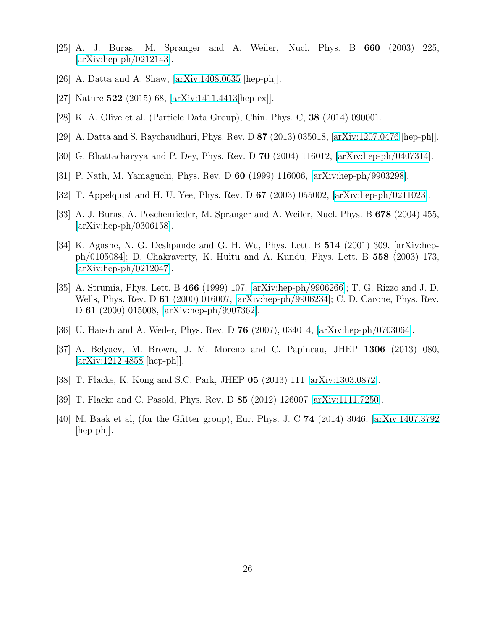- <span id="page-25-1"></span><span id="page-25-0"></span>[25] A. J. Buras, M. Spranger and A. Weiler, Nucl. Phys. B 660 (2003) 225, [\[arXiv:hep-ph/0212143\]](http://arxiv.org/abs/hep-ph/0212143).
- <span id="page-25-2"></span>[26] A. Datta and A. Shaw, [\[arXiv:1408.0635](http://arxiv.org/abs/1408.0635) [hep-ph]].
- <span id="page-25-3"></span>[27] Nature 522 (2015) 68, [\[arXiv:1411.4413\[](http://arxiv.org/abs/1411.4413)hep-ex]].
- <span id="page-25-4"></span>[28] K. A. Olive et al. (Particle Data Group), Chin. Phys. C, 38 (2014) 090001.
- <span id="page-25-5"></span>[29] A. Datta and S. Raychaudhuri, Phys. Rev. D 87 (2013) 035018, [\[arXiv:1207.0476](http://arxiv.org/abs/1207.0476) [hep-ph]].
- <span id="page-25-6"></span>[30] G. Bhattacharyya and P. Dey, Phys. Rev. D 70 (2004) 116012, [\[arXiv:hep-ph/0407314\]](http://arxiv.org/abs/hep-ph/0407314).
- <span id="page-25-7"></span>[31] P. Nath, M. Yamaguchi, Phys. Rev. D 60 (1999) 116006, [\[arXiv:hep-ph/9903298\]](http://arxiv.org/abs/hep-ph/9903298).
- <span id="page-25-8"></span>[32] T. Appelquist and H. U. Yee, Phys. Rev. D 67 (2003) 055002, [\[arXiv:hep-ph/0211023\]](http://arxiv.org/abs/hep-ph/0211023).
- <span id="page-25-9"></span>[33] A. J. Buras, A. Poschenrieder, M. Spranger and A. Weiler, Nucl. Phys. B 678 (2004) 455, [\[arXiv:hep-ph/0306158\]](http://arxiv.org/abs/hep-ph/0306158).
- [34] K. Agashe, N. G. Deshpande and G. H. Wu, Phys. Lett. B 514 (2001) 309, [arXiv:hepph/0105084]; D. Chakraverty, K. Huitu and A. Kundu, Phys. Lett. B 558 (2003) 173, [\[arXiv:hep-ph/0212047\]](http://arxiv.org/abs/hep-ph/0212047).
- <span id="page-25-10"></span>[35] A. Strumia, Phys. Lett. B 466 (1999) 107, [\[arXiv:hep-ph/9906266\]](http://arxiv.org/abs/hep-ph/9906266); T. G. Rizzo and J. D. Wells, Phys. Rev. D 61 (2000) 016007, [\[arXiv:hep-ph/9906234\]](http://arxiv.org/abs/hep-ph/9906234); C. D. Carone, Phys. Rev. D 61 (2000) 015008, [\[arXiv:hep-ph/9907362\]](http://arxiv.org/abs/hep-ph/9907362).
- <span id="page-25-12"></span><span id="page-25-11"></span>[36] U. Haisch and A. Weiler, Phys. Rev. D 76 (2007), 034014, [\[arXiv:hep-ph/0703064\]](http://arxiv.org/abs/hep-ph/0703064).
- [37] A. Belyaev, M. Brown, J. M. Moreno and C. Papineau, JHEP 1306 (2013) 080,  $\arXiv:1212.4858$  [hep-ph].
- <span id="page-25-14"></span><span id="page-25-13"></span>[38] T. Flacke, K. Kong and S.C. Park, JHEP 05 (2013) 111 [\[arXiv:1303.0872\]](http://arxiv.org/abs/1303.0872).
- <span id="page-25-15"></span>[39] T. Flacke and C. Pasold, Phys. Rev. D 85 (2012) 126007 [\[arXiv:1111.7250\]](http://arxiv.org/abs/1111.7250).
- [40] M. Baak et al, (for the Gfitter group), Eur. Phys. J. C 74 (2014) 3046, [\[arXiv:1407.3792](http://arxiv.org/abs/1407.3792)  $\vert \text{hep-ph} \vert$ .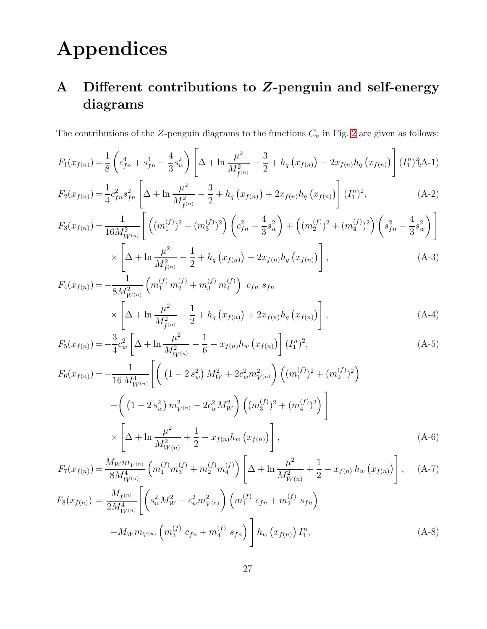# Appendices

# A Different contributions to Z-penguin and self-energy diagrams

The contributions of the Z-penguin diagrams to the functions  $C_n$  in Fig. [2](#page-10-0) are given as follows:

$$
F_1(x_{f(n)}) = \frac{1}{8} \left( c_{fn}^4 + s_{fn}^4 - \frac{4}{3} s_w^2 \right) \left[ \Delta + \ln \frac{\mu^2}{M_{f(n)}^2} - \frac{3}{2} + h_q \left( x_{f(n)} \right) - 2x_{f(n)} h_q \left( x_{f(n)} \right) \right] (I_1^n)^2 (A-1)
$$

$$
F_2(x_{f(n)}) = \frac{1}{4}c_{fn}^2 s_{fn}^2 \left[ \Delta + \ln \frac{\mu^2}{M_{f^{(n)}}^2} - \frac{3}{2} + h_q(x_{f(n)}) + 2x_{f(n)}h_q(x_{f(n)}) \right] (I_1^n)^2, \tag{A-2}
$$

$$
F_3(x_{f(n)}) = \frac{1}{16M_{W^{(n)}}^2} \left[ \left( (m_1^{(f)})^2 + (m_3^{(f)})^2 \right) \left( c_{fn}^2 - \frac{4}{3} s_w^2 \right) + \left( (m_2^{(f)})^2 + (m_4^{(f)})^2 \right) \left( s_{fn}^2 - \frac{4}{3} s_w^2 \right) \right] \times \left[ \Delta + \ln \frac{\mu^2}{M_{f^{(n)}}^2} - \frac{1}{2} + h_q \left( x_{f(n)} \right) - 2x_{f(n)} h_q \left( x_{f(n)} \right) \right], \tag{A-3}
$$

$$
F_4(x_{f(n)}) = -\frac{1}{8M_{W^{(n)}}^2} \left( m_1^{(f)} m_2^{(f)} + m_3^{(f)} m_4^{(f)} \right) c_{fn} s_{fn}
$$
  
\$\times \left[ \Delta + \ln \frac{\mu^2}{M\_{f^{(n)}}^2} - \frac{1}{2} + h\_q (x\_{f(n)}) + 2x\_{f(n)} h\_q (x\_{f(n)}) \right], \qquad (A-4)\$

$$
F_5(x_{f(n)}) = -\frac{3}{4}c_w^2 \left[\Delta + \ln \frac{\mu^2}{M_{W^{(n)}}^2} - \frac{1}{6} - x_{f(n)}h_w(x_{f(n)})\right] (I_1^n)^2,
$$
\n(A-5)

$$
F_6(x_{f(n)}) = -\frac{1}{16 M_{W^{(n)}}^4} \left[ \left( \left( 1 - 2 s_w^2 \right) M_W^2 + 2 c_w^2 m_{V^{(n)}}^2 \right) \left( (m_1^{(f)})^2 + (m_2^{(f)})^2 \right) \right. \\ \left. + \left( \left( 1 - 2 s_w^2 \right) m_{V^{(n)}}^2 + 2 c_w^2 M_W^2 \right) \left( (m_3^{(f)})^2 + (m_4^{(f)})^2 \right) \right] \\ \times \left[ \Delta + \ln \frac{\mu^2}{M_{W(n)}^2} + \frac{1}{2} - x_{f(n)} h_w \left( x_{f(n)} \right) \right], \tag{A-6}
$$

$$
F_7(x_{f(n)}) = \frac{M_W m_{V^{(n)}}}{8M_{W^{(n)}}^4} \left( m_1^{(f)} m_3^{(f)} + m_2^{(f)} m_4^{(f)} \right) \left[ \Delta + \ln \frac{\mu^2}{M_{W(n)}^2} + \frac{1}{2} - x_{f(n)} h_w \left( x_{f(n)} \right) \right], \quad (A-7)
$$
  

$$
F_8(x_{f(n)}) = \frac{M_{f^{(n)}}}{2M_{W^{(n)}}^4} \left[ \left( s_w^2 M_W^2 - c_w^2 m_{V^{(n)}}^2 \right) \left( m_1^{(f)} c_{fn} + m_2^{(f)} s_{fn} \right) \right]
$$

$$
+M_W m_{V^{(n)}} \left( m_3^{(f)} c_{fn} + m_4^{(f)} s_{fn} \right) \bigg] h_w \left( x_{f(n)} \right) I_1^n, \tag{A-8}
$$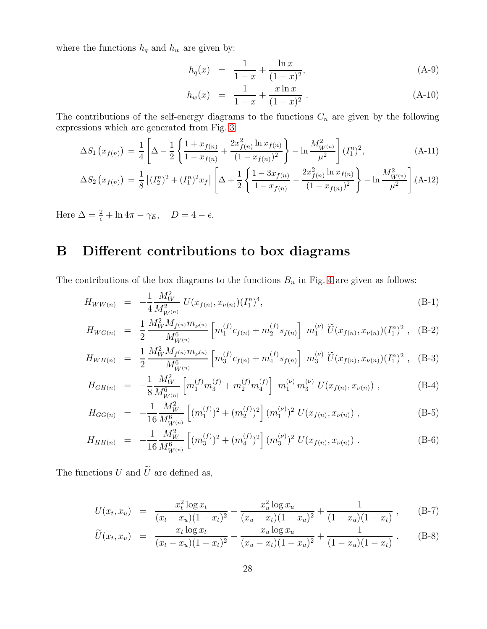where the functions  $h_q$  and  $h_w$  are given by:

$$
h_q(x) = \frac{1}{1-x} + \frac{\ln x}{(1-x)^2},
$$
\n(A-9)

$$
h_w(x) = \frac{1}{1-x} + \frac{x \ln x}{(1-x)^2} \,. \tag{A-10}
$$

The contributions of the self-energy diagrams to the functions  $C_n$  are given by the following expressions which are generated from Fig. [3:](#page-11-0)

$$
\Delta S_1 \left( x_{f(n)} \right) \, = \, \frac{1}{4} \left[ \Delta - \frac{1}{2} \left\{ \frac{1 + x_{f(n)}}{1 - x_{f(n)}} + \frac{2x_{f(n)}^2 \ln x_{f(n)}}{(1 - x_{f(n)})^2} \right\} - \ln \frac{M_{W^{(n)}}^2}{\mu^2} \right] (I_1^n)^2, \tag{A-11}
$$

$$
\Delta S_2(x_{f(n)}) = \frac{1}{8} \left[ (I_2^n)^2 + (I_1^n)^2 x_f \right] \left[ \Delta + \frac{1}{2} \left\{ \frac{1 - 3x_{f(n)}}{1 - x_{f(n)}} - \frac{2x_{f(n)}^2 \ln x_{f(n)}}{(1 - x_{f(n)})^2} \right\} - \ln \frac{M_{W^{(n)}}^2}{\mu^2} \right].
$$
 (A-12)

Here  $\Delta = \frac{2}{\epsilon} + \ln 4\pi - \gamma_E$ ,  $D = 4 - \epsilon$ .

# B Different contributions to box diagrams

The contributions of the box diagrams to the functions  $B_n$  in Fig. [4](#page-12-0) are given as follows:

$$
H_{WW(n)} = -\frac{1}{4} \frac{M_W^2}{M_{W^{(n)}}^2} U(x_{f(n)}, x_{\nu(n)}) (I_1^n)^4,
$$
\n(B-1)

$$
H_{WG(n)} = \frac{1}{2} \frac{M_W^2 M_{f^{(n)}} m_{\nu^{(n)}}}{M_{W^{(n)}}^6} \left[ m_1^{(f)} c_{f(n)} + m_2^{(f)} s_{f(n)} \right] m_1^{(\nu)} \widetilde{U}(x_{f(n)}, x_{\nu(n)}) (I_1^n)^2 , \quad (B-2)
$$

$$
H_{WH(n)} = \frac{1}{2} \frac{M_W^2 M_{f^{(n)}} m_{\nu^{(n)}}}{M_{W^{(n)}}^6} \left[ m_3^{(f)} c_{f(n)} + m_4^{(f)} s_{f(n)} \right] m_3^{(\nu)} \widetilde{U}(x_{f(n)}, x_{\nu(n)}) (I_1^n)^2 , \quad (B-3)
$$

$$
H_{GH(n)} = -\frac{1}{8} \frac{M_W^2}{M_{W^{(n)}}^6} \left[ m_1^{(f)} m_3^{(f)} + m_2^{(f)} m_4^{(f)} \right] m_1^{(\nu)} m_3^{(\nu)} U(x_{f(n)}, x_{\nu(n)}) , \qquad (B-4)
$$

$$
H_{GG(n)} = -\frac{1}{16} \frac{M_W^2}{M_{W^{(n)}}^6} \left[ (m_1^{(f)})^2 + (m_2^{(f)})^2 \right] (m_1^{(\nu)})^2 U(x_{f(n)}, x_{\nu(n)}) , \qquad (B-5)
$$

$$
H_{HH(n)} = -\frac{1}{16} \frac{M_W^2}{M_{W^{(n)}}^6} \left[ (m_3^{(f)})^2 + (m_4^{(f)})^2 \right] (m_3^{(\nu)})^2 U(x_{f(n)}, x_{\nu(n)}) . \tag{B-6}
$$

The functions  $U$  and  $\widetilde{U}$  are defined as,

$$
U(x_t, x_u) = \frac{x_t^2 \log x_t}{(x_t - x_u)(1 - x_t)^2} + \frac{x_u^2 \log x_u}{(x_u - x_t)(1 - x_u)^2} + \frac{1}{(1 - x_u)(1 - x_t)}, \quad (B-7)
$$

$$
\widetilde{U}(x_t, x_u) = \frac{x_t \log x_t}{(x_t - x_u)(1 - x_t)^2} + \frac{x_u \log x_u}{(x_u - x_t)(1 - x_u)^2} + \frac{1}{(1 - x_u)(1 - x_t)}.
$$
\n(B-8)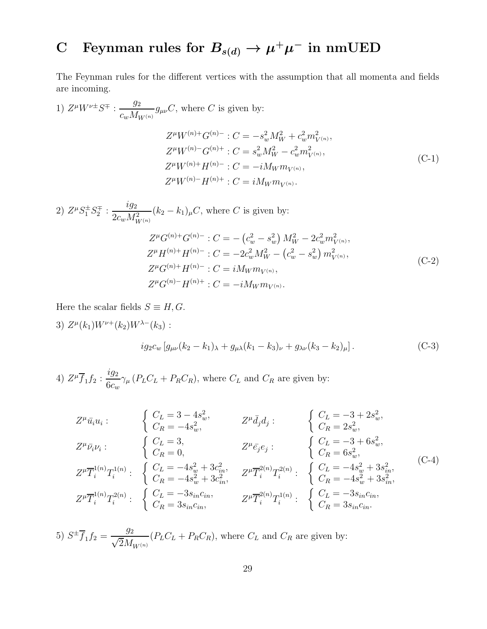# C Feynman rules for  $B_{s(d)} \to \mu^+ \mu^-$  in nmUED

The Feynman rules for the different vertices with the assumption that all momenta and fields are incoming.

1) 
$$
Z^{\mu}W^{\nu\pm}S^{\mp}
$$
:  $\frac{g_2}{c_wM_{W^{(n)}}}g_{\mu\nu}C$ , where *C* is given by:  
\n
$$
Z^{\mu}W^{(n)+}G^{(n)-}:C=-s_w^2M_W^2+c_w^2m_{V^{(n)}}^2,
$$
\n
$$
Z^{\mu}W^{(n)-}G^{(n)+}:C=s_w^2M_W^2-c_w^2m_{V^{(n)}}^2,
$$
\n
$$
Z^{\mu}W^{(n)+}H^{(n)-}:C=-iM_Wm_{V^{(n)}},
$$
\n(C-1)  
\n
$$
Z^{\mu}W^{(n)-}H^{(n)+}:C=iM_Wm_{V^{(n)}}.
$$

2)  $Z^{\mu}S_1^{\pm}S_2^{\mp}$  :  $\frac{ig_2}{2g M^2}$  $\frac{Q_2}{2c_w M_{W^{(n)}}^2}(k_2 - k_1)_{\mu}C$ , where C is given by:  $Z^{\mu}G^{(n)+}G^{(n)-}:C=-\left(c_{w}^{2}-s_{w}^{2}\right)M_{W}^{2}-2c_{w}^{2}m_{V^{(n)}}^{2},$  $Z^{\mu}H^{(n)+}H^{(n)-}: C = -2c_w^2 M_W^2 - (c_w^2 - s_w^2) m_{V^{(n)}}^2,$  $Z^{\mu}G^{(n)+}H^{(n)-}: C=iM_W m_{V^{(n)}},$  $Z^{\mu}G^{(n)-}H^{(n)+}:C=-iM_Wm_{V^{(n)}}.$  $(C-2)$ 

Here the scalar fields  $S \equiv H, G$ .

3) 
$$
Z^{\mu}(k_1)W^{\nu+}(k_2)W^{\lambda-}(k_3):
$$
  

$$
ig_2c_w[g_{\mu\nu}(k_2 - k_1)_{\lambda} + g_{\mu\lambda}(k_1 - k_3)_{\nu} + g_{\lambda\nu}(k_3 - k_2)_{\mu}].
$$
 (C-3)

4)  $Z^{\mu} \overline{f}_1 f_2 : \frac{ig_2}{6g}$  $6c_w$  $\gamma_{\mu}$  ( $P_L C_L + P_R C_R$ ), where  $C_L$  and  $C_R$  are given by:

$$
Z^{\mu}\bar{u}_{i}u_{i} : \qquad \begin{cases} C_{L} = 3 - 4s_{w}^{2}, & Z^{\mu}\bar{d}_{j}d_{j} : \\ C_{R} = -4s_{w}^{2}, & Z^{\mu}\bar{d}_{j}d_{j} : \end{cases} \qquad \begin{cases} C_{L} = -3 + 2s_{w}^{2}, \\ C_{R} = 2s_{w}^{2}, \\ C_{R} = 2s_{w}^{2}, \end{cases}
$$

$$
Z^{\mu}\bar{r}_{i}^{1(n)}T_{i}^{1(n)} : \qquad \begin{cases} C_{L} = 3, & Z^{\mu}\bar{e}_{j}e_{j} : \\ C_{R} = 0, & C_{R} = 6s_{w}^{2}, \\ C_{R} = 6s_{w}^{2}, \\ C_{R} = -4s_{w}^{2} + 3c_{in}^{2}, & Z^{\mu}\bar{T}_{i}^{2(n)}T_{i}^{2(n)} : \end{cases} \qquad \begin{cases} C_{L} = -3 + 6s_{w}^{2}, & (C-4) \\ C_{R} = -4s_{w}^{2} + 3s_{in}^{2}, \\ C_{R} = -4s_{w}^{2} + 3s_{in}^{2}, \\ C_{R} = -4s_{w}^{2} + 3s_{in}^{2}, \end{cases} \qquad \begin{cases} C_{L} = -3s_{in}c_{in}, & C_{L} = -3s_{in}c_{in}, \\ C_{R} = -4s_{in}^{2} + 3s_{in}^{2}, \\ C_{R} = 3s_{in}c_{in}. \end{cases}
$$

5)  $S^{\pm}f_1f_2 =$  $\overline{g_2}$  $\sqrt{2}M_{W^{(n)}}$  $(P_L C_L + P_R C_R)$ , where  $C_L$  and  $C_R$  are given by: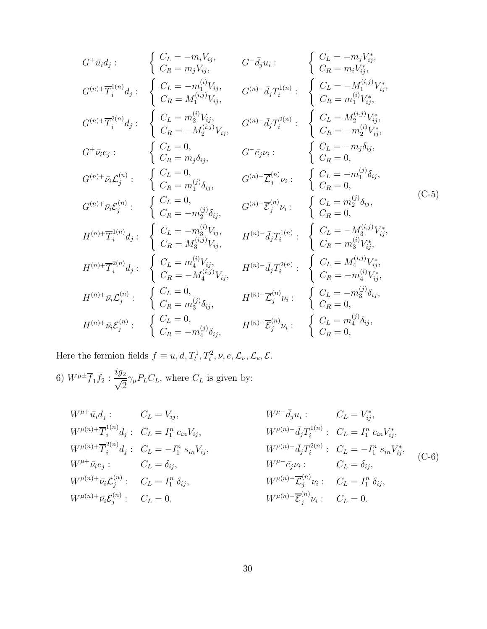$$
G^+\bar{u}_i d_j: \n\begin{cases}\nC_L = -m_i V_{ij}, & G^-\bar{d}_j u_i: \\
C_R = m_j V_{ij}, & G^-\bar{d}_j u_i: \\
C_R = m_i V_{ij}^*, \\
C_R = M_1^{(i,j)} V_{ij}, & G^{(n)} - \bar{d}_j T_1^{1(n)}: \\
C_R = M_1^{(i,j)} V_{ij}, & G^{(n)} - \bar{d}_j T_1^{1(n)}: \\
C_R = m_1^{(i,j)} V_{ij}, & G^{(n)} - \bar{d}_j T_1^{2(n)}: \\
C_R = m_1^{(i,j)} V_{ij}, & G^{(n)} - \bar{d}_j T_2^{2(n)}: \\
C_R = m_1^{(i,j)} V_{ij}, & G^{(n)} - \bar{d}_j T_2^{2(n)}: \\
C_R = -m_2^{(i,j)} V_{ij}, & G^{(n)} - \bar{d}_j T_2^{2(n)}: \\
C_R = -m_2^{(i,j)} V_{ij}, & G^{(n)} - \bar{d}_j T_2^{2(n)}: \\
C_R = -m_2^{(i,j)} V_{ij}, & G^{(n)} - \bar{d}_j T_2^{2(n)}: \\
C_R = -m_2^{(i,j)} V_{ij}, & G^{(n)} - \bar{d}_j T_2^{2(n)}: \\
C_R = -m_2^{(i,j)} V_{ij}, & G^{(n)} - \bar{d}_j T_2^{2(n)}: \\
C_R = 0, & G^{(n)} - \bar{d}_j T_2^{2(n)} V_{ij}, & G^{(n)} - \bar{d}_j T_2^{2(n)} V_{ij}, \\
C_R = 0, & G^{(n)} - \bar{d}_j T_2^{2(n)} V_{ij}, & G^{(n)} - \bar{d}_j T_2^{2(n)} V_{ij}, & G^{(n)} - \bar{d}_j T_2^{2(n)}: \\
C_R = 0, & G^{(n)} - \bar{d}_j T_2^{2(n)} V_{ij}, & G^{(n)} - \bar{d}_j T_2^{2(n)} V_{ij}, \\
C_R = -M_2^{(i,j)} V_{ij}, & G^{(n)} - \bar{d}_j T_2^{2(n)}: \\
C_R = -M_2^{(i,j)} V_{ij}, & G^{(n)} - \bar{d}_j T_2^{2(n)}: \\
C_R = -M_2^{(i,j)} V_{ij}, & G^{(n)} - \bar{d}_j T_2^{2(n)}: \\
C_R = -M_2^{
$$

Here the fermion fields  $f \equiv u, d, T_t^1, T_t^2, \nu, e, \mathcal{L}_{\nu}, \mathcal{L}_{e}, \mathcal{E}.$ 

6)  $W^{\mu \pm} \overline{f}_1 f_2 : \frac{ig_2}{\sqrt{2}}$  $\sqrt{2}$  $\gamma_{\mu}P_{L}C_{L}$ , where  $C_{L}$  is given by:

$$
W^{\mu +} \bar{u}_i d_j: C_L = V_{ij}, \t W^{\mu(n) +} \bar{T}_i^{(n)} d_j: C_L = I_1^n c_{in} V_{ij}, \t W^{\mu(n) +} \bar{T}_i^{2(n)} d_j: C_L = I_1^n c_{in} V_{ij}, \t W^{\mu(n) +} \bar{T}_i^{2(n)} d_j: C_L = -I_1^n s_{in} V_{ij}, \t W^{\mu(n) -} \bar{d}_j T_i^{1(n)}: C_L = I_1^n c_{in} V_{ij}^*,
$$
  
\n
$$
W^{\mu(n) +} \bar{T}_i^{2(n)} d_j: C_L = -I_1^n s_{in} V_{ij}, \t W^{\mu(n) -} \bar{d}_j T_i^{2(n)}: C_L = -I_1^n s_{in} V_{ij}^*,
$$
  
\n
$$
W^{\mu(n) +} \bar{v}_i c_j: C_L = \delta_{ij}, \t W^{\mu(n) -} \bar{c}_j^{(n)} v_i: C_L = I_1^n \delta_{ij},
$$
  
\n
$$
W^{\mu(n) +} \bar{v}_i c_j^{(n)}: C_L = 0, \t W^{\mu(n) -} \bar{c}_j^{(n)} v_i: C_L = 0.
$$
  
\n(5.1)